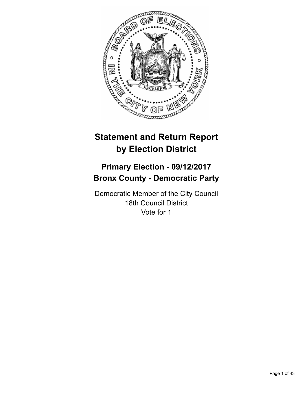

# **Statement and Return Report by Election District**

# **Primary Election - 09/12/2017 Bronx County - Democratic Party**

Democratic Member of the City Council 18th Council District Vote for 1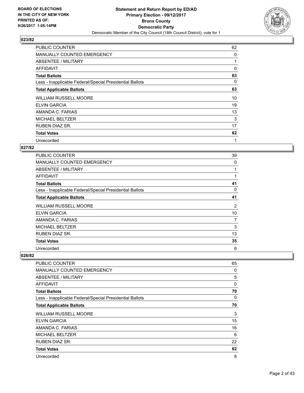

| <b>PUBLIC COUNTER</b>                                    | 62 |
|----------------------------------------------------------|----|
| MANUALLY COUNTED EMERGENCY                               | 0  |
| ABSENTEE / MILITARY                                      |    |
| AFFIDAVIT                                                | 0  |
| <b>Total Ballots</b>                                     | 63 |
| Less - Inapplicable Federal/Special Presidential Ballots | 0  |
| <b>Total Applicable Ballots</b>                          | 63 |
| <b>WILLIAM RUSSELL MOORE</b>                             | 10 |
| <b>ELVIN GARCIA</b>                                      | 19 |
| AMANDA C. FARIAS                                         | 13 |
| <b>MICHAEL BELTZER</b>                                   | 3  |
| <b>RUBEN DIAZ SR.</b>                                    | 17 |
| <b>Total Votes</b>                                       | 62 |
| Unrecorded                                               | 1  |

## **027/82**

| <b>PUBLIC COUNTER</b>                                    | 39 |
|----------------------------------------------------------|----|
| <b>MANUALLY COUNTED EMERGENCY</b>                        | 0  |
| ABSENTEE / MILITARY                                      |    |
| AFFIDAVIT                                                | 1  |
| <b>Total Ballots</b>                                     | 41 |
| Less - Inapplicable Federal/Special Presidential Ballots | 0  |
| <b>Total Applicable Ballots</b>                          | 41 |
| <b>WILLIAM RUSSELL MOORE</b>                             | 2  |
| <b>ELVIN GARCIA</b>                                      | 10 |
| AMANDA C. FARIAS                                         | 7  |
| <b>MICHAEL BELTZER</b>                                   | 3  |
| RUBEN DIAZ SR.                                           | 13 |
| <b>Total Votes</b>                                       | 35 |
| Unrecorded                                               | 6  |

| PUBLIC COUNTER                                           | 65 |
|----------------------------------------------------------|----|
| <b>MANUALLY COUNTED EMERGENCY</b>                        | 0  |
| ABSENTEE / MILITARY                                      | 5  |
| AFFIDAVIT                                                | 0  |
| <b>Total Ballots</b>                                     | 70 |
| Less - Inapplicable Federal/Special Presidential Ballots | 0  |
| <b>Total Applicable Ballots</b>                          | 70 |
| <b>WILLIAM RUSSELL MOORE</b>                             | 3  |
| <b>ELVIN GARCIA</b>                                      | 15 |
| AMANDA C. FARIAS                                         | 16 |
| <b>MICHAEL BELTZER</b>                                   | 6  |
| <b>RUBEN DIAZ SR.</b>                                    | 22 |
| <b>Total Votes</b>                                       | 62 |
| Unrecorded                                               | 8  |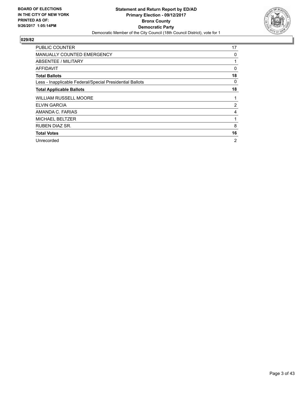

| <b>PUBLIC COUNTER</b>                                    | 17 |
|----------------------------------------------------------|----|
| <b>MANUALLY COUNTED EMERGENCY</b>                        | 0  |
| ABSENTEE / MILITARY                                      |    |
| AFFIDAVIT                                                | 0  |
| <b>Total Ballots</b>                                     | 18 |
| Less - Inapplicable Federal/Special Presidential Ballots | 0  |
| <b>Total Applicable Ballots</b>                          | 18 |
| <b>WILLIAM RUSSELL MOORE</b>                             | 1  |
|                                                          |    |
| <b>ELVIN GARCIA</b>                                      | 2  |
| AMANDA C. FARIAS                                         | 4  |
| <b>MICHAEL BELTZER</b>                                   | 1  |
| RUBEN DIAZ SR.                                           | 8  |
| <b>Total Votes</b>                                       | 16 |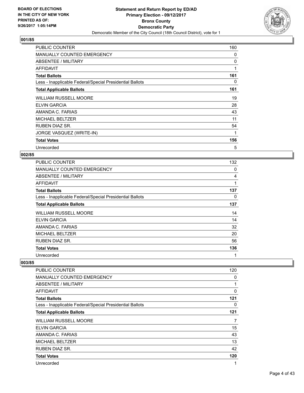

| <b>PUBLIC COUNTER</b>                                    | 160 |
|----------------------------------------------------------|-----|
| <b>MANUALLY COUNTED EMERGENCY</b>                        | 0   |
| ABSENTEE / MILITARY                                      | 0   |
| AFFIDAVIT                                                | 1   |
| <b>Total Ballots</b>                                     | 161 |
| Less - Inapplicable Federal/Special Presidential Ballots | 0   |
| <b>Total Applicable Ballots</b>                          | 161 |
| <b>WILLIAM RUSSELL MOORE</b>                             | 19  |
| ELVIN GARCIA                                             | 28  |
| AMANDA C. FARIAS                                         | 43  |
| <b>MICHAEL BELTZER</b>                                   | 11  |
| <b>RUBEN DIAZ SR.</b>                                    | 54  |
| JORGE VASQUEZ (WRITE-IN)                                 | 1   |
| <b>Total Votes</b>                                       | 156 |
| Unrecorded                                               | 5   |

#### **002/85**

| <b>PUBLIC COUNTER</b>                                    | 132 |
|----------------------------------------------------------|-----|
| MANUALLY COUNTED EMERGENCY                               | 0   |
| ABSENTEE / MILITARY                                      | 4   |
| AFFIDAVIT                                                | 1   |
| <b>Total Ballots</b>                                     | 137 |
| Less - Inapplicable Federal/Special Presidential Ballots | 0   |
| <b>Total Applicable Ballots</b>                          | 137 |
| <b>WILLIAM RUSSELL MOORE</b>                             | 14  |
| ELVIN GARCIA                                             | 14  |
| AMANDA C. FARIAS                                         | 32  |
| <b>MICHAEL BELTZER</b>                                   | 20  |
| <b>RUBEN DIAZ SR.</b>                                    | 56  |
| <b>Total Votes</b>                                       | 136 |
| Unrecorded                                               | 1   |

| PUBLIC COUNTER                                           | 120      |
|----------------------------------------------------------|----------|
| MANUALLY COUNTED EMERGENCY                               | 0        |
| ABSENTEE / MILITARY                                      | 1        |
| <b>AFFIDAVIT</b>                                         | $\Omega$ |
| <b>Total Ballots</b>                                     | 121      |
| Less - Inapplicable Federal/Special Presidential Ballots | 0        |
| <b>Total Applicable Ballots</b>                          | 121      |
| <b>WILLIAM RUSSELL MOORE</b>                             | 7        |
| <b>ELVIN GARCIA</b>                                      | 15       |
| AMANDA C. FARIAS                                         | 43       |
| <b>MICHAEL BELTZER</b>                                   | 13       |
| <b>RUBEN DIAZ SR.</b>                                    | 42       |
| <b>Total Votes</b>                                       | 120      |
| Unrecorded                                               | 1        |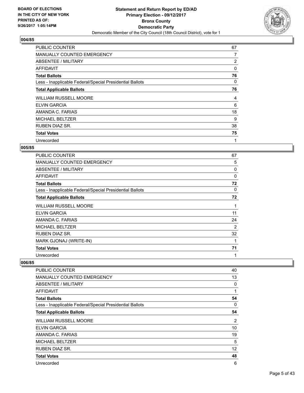

| <b>PUBLIC COUNTER</b>                                    | 67 |
|----------------------------------------------------------|----|
| MANUALLY COUNTED EMERGENCY                               | 7  |
| ABSENTEE / MILITARY                                      | 2  |
| AFFIDAVIT                                                | 0  |
| <b>Total Ballots</b>                                     | 76 |
| Less - Inapplicable Federal/Special Presidential Ballots | 0  |
| <b>Total Applicable Ballots</b>                          | 76 |
| <b>WILLIAM RUSSELL MOORE</b>                             | 4  |
| <b>ELVIN GARCIA</b>                                      | 6  |
| AMANDA C. FARIAS                                         | 18 |
| <b>MICHAEL BELTZER</b>                                   | 9  |
| <b>RUBEN DIAZ SR.</b>                                    | 38 |
| <b>Total Votes</b>                                       | 75 |
| Unrecorded                                               | 1  |

## **005/85**

| <b>PUBLIC COUNTER</b>                                    | 67             |
|----------------------------------------------------------|----------------|
| <b>MANUALLY COUNTED EMERGENCY</b>                        | 5              |
| ABSENTEE / MILITARY                                      | 0              |
| <b>AFFIDAVIT</b>                                         | 0              |
| <b>Total Ballots</b>                                     | 72             |
| Less - Inapplicable Federal/Special Presidential Ballots | 0              |
| <b>Total Applicable Ballots</b>                          | 72             |
| <b>WILLIAM RUSSELL MOORE</b>                             | 1              |
| <b>ELVIN GARCIA</b>                                      | 11             |
| AMANDA C. FARIAS                                         | 24             |
| <b>MICHAEL BELTZER</b>                                   | $\overline{2}$ |
| <b>RUBEN DIAZ SR.</b>                                    | 32             |
| MARK GJONAJ (WRITE-IN)                                   | 1              |
| <b>Total Votes</b>                                       | 71             |
| Unrecorded                                               | 1              |

| PUBLIC COUNTER                                           | 40             |
|----------------------------------------------------------|----------------|
| MANUALLY COUNTED EMERGENCY                               | 13             |
| ABSENTEE / MILITARY                                      | 0              |
| AFFIDAVIT                                                | 1              |
| <b>Total Ballots</b>                                     | 54             |
| Less - Inapplicable Federal/Special Presidential Ballots | 0              |
| <b>Total Applicable Ballots</b>                          | 54             |
| <b>WILLIAM RUSSELL MOORE</b>                             | $\overline{2}$ |
| <b>ELVIN GARCIA</b>                                      | 10             |
| AMANDA C. FARIAS                                         | 19             |
| <b>MICHAEL BELTZER</b>                                   | 5              |
| <b>RUBEN DIAZ SR.</b>                                    | 12             |
| <b>Total Votes</b>                                       | 48             |
| Unrecorded                                               | 6              |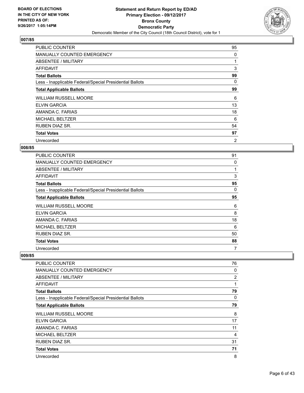

| <b>PUBLIC COUNTER</b>                                    | 95             |
|----------------------------------------------------------|----------------|
| MANUALLY COUNTED EMERGENCY                               | 0              |
| ABSENTEE / MILITARY                                      |                |
| AFFIDAVIT                                                | 3              |
| <b>Total Ballots</b>                                     | 99             |
| Less - Inapplicable Federal/Special Presidential Ballots | 0              |
| <b>Total Applicable Ballots</b>                          | 99             |
| <b>WILLIAM RUSSELL MOORE</b>                             | 6              |
| <b>ELVIN GARCIA</b>                                      | 13             |
| AMANDA C. FARIAS                                         | 18             |
| <b>MICHAEL BELTZER</b>                                   | 6              |
| <b>RUBEN DIAZ SR.</b>                                    | 54             |
| <b>Total Votes</b>                                       | 97             |
| Unrecorded                                               | $\overline{2}$ |

## **008/85**

| <b>PUBLIC COUNTER</b>                                    | 91 |
|----------------------------------------------------------|----|
| <b>MANUALLY COUNTED EMERGENCY</b>                        | 0  |
| ABSENTEE / MILITARY                                      |    |
| AFFIDAVIT                                                | 3  |
| <b>Total Ballots</b>                                     | 95 |
| Less - Inapplicable Federal/Special Presidential Ballots | 0  |
| <b>Total Applicable Ballots</b>                          | 95 |
| <b>WILLIAM RUSSELL MOORE</b>                             | 6  |
| <b>ELVIN GARCIA</b>                                      | 8  |
| AMANDA C. FARIAS                                         | 18 |
| <b>MICHAEL BELTZER</b>                                   | 6  |
| RUBEN DIAZ SR.                                           | 50 |
| <b>Total Votes</b>                                       | 88 |
| Unrecorded                                               | 7  |

| <b>PUBLIC COUNTER</b>                                    | 76 |
|----------------------------------------------------------|----|
| <b>MANUALLY COUNTED EMERGENCY</b>                        | 0  |
| ABSENTEE / MILITARY                                      | 2  |
| AFFIDAVIT                                                | 1  |
| <b>Total Ballots</b>                                     | 79 |
| Less - Inapplicable Federal/Special Presidential Ballots | 0  |
| <b>Total Applicable Ballots</b>                          | 79 |
| <b>WILLIAM RUSSELL MOORE</b>                             | 8  |
| <b>ELVIN GARCIA</b>                                      | 17 |
| AMANDA C. FARIAS                                         | 11 |
| <b>MICHAEL BELTZER</b>                                   | 4  |
| <b>RUBEN DIAZ SR.</b>                                    | 31 |
| <b>Total Votes</b>                                       | 71 |
| Unrecorded                                               | 8  |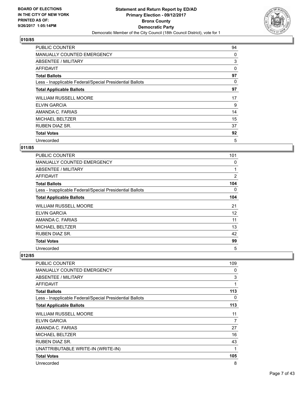

| <b>PUBLIC COUNTER</b>                                    | 94 |
|----------------------------------------------------------|----|
| <b>MANUALLY COUNTED EMERGENCY</b>                        | 0  |
| ABSENTEE / MILITARY                                      | 3  |
| AFFIDAVIT                                                | 0  |
| <b>Total Ballots</b>                                     | 97 |
| Less - Inapplicable Federal/Special Presidential Ballots | 0  |
| <b>Total Applicable Ballots</b>                          | 97 |
| <b>WILLIAM RUSSELL MOORE</b>                             | 17 |
| <b>ELVIN GARCIA</b>                                      | 9  |
| AMANDA C. FARIAS                                         | 14 |
| <b>MICHAEL BELTZER</b>                                   | 15 |
| <b>RUBEN DIAZ SR.</b>                                    | 37 |
| <b>Total Votes</b>                                       | 92 |
| Unrecorded                                               | 5  |

## **011/85**

| <b>PUBLIC COUNTER</b>                                    | 101            |
|----------------------------------------------------------|----------------|
| <b>MANUALLY COUNTED EMERGENCY</b>                        | 0              |
| ABSENTEE / MILITARY                                      |                |
| AFFIDAVIT                                                | $\overline{2}$ |
| <b>Total Ballots</b>                                     | 104            |
| Less - Inapplicable Federal/Special Presidential Ballots | 0              |
| <b>Total Applicable Ballots</b>                          | 104            |
| <b>WILLIAM RUSSELL MOORE</b>                             | 21             |
| <b>ELVIN GARCIA</b>                                      | 12             |
| AMANDA C. FARIAS                                         | 11             |
| <b>MICHAEL BELTZER</b>                                   | 13             |
| <b>RUBEN DIAZ SR.</b>                                    | 42             |
| <b>Total Votes</b>                                       | 99             |
| Unrecorded                                               | 5              |

| PUBLIC COUNTER                                           | 109 |
|----------------------------------------------------------|-----|
| <b>MANUALLY COUNTED EMERGENCY</b>                        | 0   |
| <b>ABSENTEE / MILITARY</b>                               | 3   |
| <b>AFFIDAVIT</b>                                         | 1   |
| <b>Total Ballots</b>                                     | 113 |
| Less - Inapplicable Federal/Special Presidential Ballots | 0   |
| <b>Total Applicable Ballots</b>                          | 113 |
| WILLIAM RUSSELL MOORE                                    | 11  |
| <b>ELVIN GARCIA</b>                                      | 7   |
| AMANDA C. FARIAS                                         | 27  |
| <b>MICHAEL BELTZER</b>                                   | 16  |
| RUBEN DIAZ SR.                                           | 43  |
| UNATTRIBUTABLE WRITE-IN (WRITE-IN)                       | 1   |
| <b>Total Votes</b>                                       | 105 |
| Unrecorded                                               | 8   |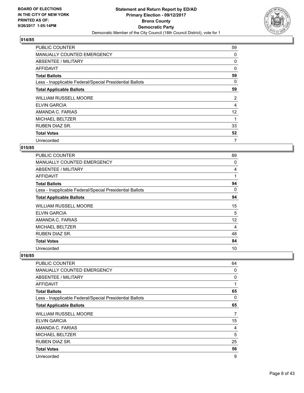

| <b>PUBLIC COUNTER</b>                                    | 59 |
|----------------------------------------------------------|----|
| MANUALLY COUNTED EMERGENCY                               | 0  |
| ABSENTEE / MILITARY                                      | 0  |
| AFFIDAVIT                                                | 0  |
| <b>Total Ballots</b>                                     | 59 |
| Less - Inapplicable Federal/Special Presidential Ballots | 0  |
| <b>Total Applicable Ballots</b>                          | 59 |
| <b>WILLIAM RUSSELL MOORE</b>                             | 2  |
| <b>ELVIN GARCIA</b>                                      | 4  |
| AMANDA C. FARIAS                                         | 12 |
| <b>MICHAEL BELTZER</b>                                   | 1  |
| <b>RUBEN DIAZ SR.</b>                                    | 33 |
| <b>Total Votes</b>                                       | 52 |
|                                                          |    |

## **015/85**

| <b>PUBLIC COUNTER</b>                                    | 89 |
|----------------------------------------------------------|----|
| <b>MANUALLY COUNTED EMERGENCY</b>                        | 0  |
| ABSENTEE / MILITARY                                      | 4  |
| <b>AFFIDAVIT</b>                                         | 1  |
| <b>Total Ballots</b>                                     | 94 |
| Less - Inapplicable Federal/Special Presidential Ballots | 0  |
| <b>Total Applicable Ballots</b>                          | 94 |
| <b>WILLIAM RUSSELL MOORE</b>                             | 15 |
| ELVIN GARCIA                                             | 5  |
| AMANDA C. FARIAS                                         | 12 |
| <b>MICHAEL BELTZER</b>                                   | 4  |
| <b>RUBEN DIAZ SR.</b>                                    | 48 |
| <b>Total Votes</b>                                       | 84 |
| Unrecorded                                               | 10 |

| <b>PUBLIC COUNTER</b>                                    | 64 |
|----------------------------------------------------------|----|
| <b>MANUALLY COUNTED EMERGENCY</b>                        | 0  |
| ABSENTEE / MILITARY                                      | 0  |
| AFFIDAVIT                                                | 1  |
| <b>Total Ballots</b>                                     | 65 |
| Less - Inapplicable Federal/Special Presidential Ballots | 0  |
| <b>Total Applicable Ballots</b>                          | 65 |
| <b>WILLIAM RUSSELL MOORE</b>                             | 7  |
| <b>ELVIN GARCIA</b>                                      | 15 |
| AMANDA C. FARIAS                                         | 4  |
| <b>MICHAEL BELTZER</b>                                   | 5  |
| <b>RUBEN DIAZ SR.</b>                                    | 25 |
| <b>Total Votes</b>                                       | 56 |
| Unrecorded                                               | 9  |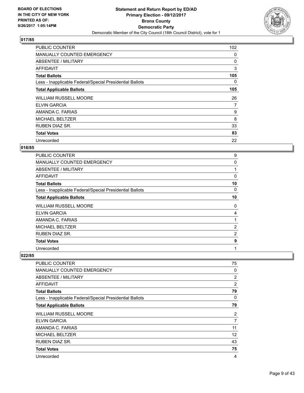

| <b>PUBLIC COUNTER</b>                                    | 102 |
|----------------------------------------------------------|-----|
| MANUALLY COUNTED EMERGENCY                               | 0   |
| ABSENTEE / MILITARY                                      | 0   |
| AFFIDAVIT                                                | 3   |
| <b>Total Ballots</b>                                     | 105 |
| Less - Inapplicable Federal/Special Presidential Ballots | 0   |
| <b>Total Applicable Ballots</b>                          | 105 |
| <b>WILLIAM RUSSELL MOORE</b>                             | 26  |
| <b>ELVIN GARCIA</b>                                      | 7   |
| AMANDA C. FARIAS                                         | 9   |
| <b>MICHAEL BELTZER</b>                                   | 8   |
| <b>RUBEN DIAZ SR.</b>                                    | 33  |
| <b>Total Votes</b>                                       | 83  |
| Unrecorded                                               | 22  |

## **018/85**

| <b>PUBLIC COUNTER</b>                                    | 9              |
|----------------------------------------------------------|----------------|
| <b>MANUALLY COUNTED EMERGENCY</b>                        | 0              |
| ABSENTEE / MILITARY                                      |                |
| AFFIDAVIT                                                | $\Omega$       |
| <b>Total Ballots</b>                                     | 10             |
| Less - Inapplicable Federal/Special Presidential Ballots | 0              |
| <b>Total Applicable Ballots</b>                          | 10             |
| <b>WILLIAM RUSSELL MOORE</b>                             | 0              |
| <b>ELVIN GARCIA</b>                                      | 4              |
| AMANDA C. FARIAS                                         |                |
| <b>MICHAEL BELTZER</b>                                   | $\overline{2}$ |
| <b>RUBEN DIAZ SR.</b>                                    | 2              |
| <b>Total Votes</b>                                       | 9              |
| Unrecorded                                               | 1              |

| PUBLIC COUNTER                                           | 75 |
|----------------------------------------------------------|----|
| <b>MANUALLY COUNTED EMERGENCY</b>                        | 0  |
| ABSENTEE / MILITARY                                      | 2  |
| AFFIDAVIT                                                | 2  |
| <b>Total Ballots</b>                                     | 79 |
| Less - Inapplicable Federal/Special Presidential Ballots | 0  |
| <b>Total Applicable Ballots</b>                          | 79 |
| <b>WILLIAM RUSSELL MOORE</b>                             | 2  |
| ELVIN GARCIA                                             | 7  |
| AMANDA C. FARIAS                                         | 11 |
| <b>MICHAEL BELTZER</b>                                   | 12 |
| RUBEN DIAZ SR.                                           | 43 |
| <b>Total Votes</b>                                       | 75 |
| Unrecorded                                               | 4  |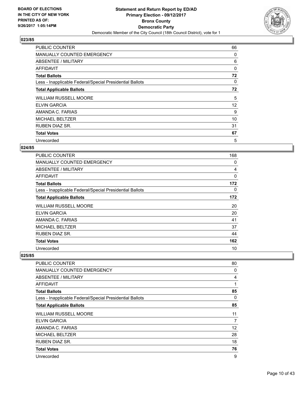

| <b>PUBLIC COUNTER</b>                                    | 66       |
|----------------------------------------------------------|----------|
| MANUALLY COUNTED EMERGENCY                               | 0        |
| ABSENTEE / MILITARY                                      | 6        |
| AFFIDAVIT                                                | $\Omega$ |
| <b>Total Ballots</b>                                     | 72       |
| Less - Inapplicable Federal/Special Presidential Ballots | 0        |
| <b>Total Applicable Ballots</b>                          | 72       |
| <b>WILLIAM RUSSELL MOORE</b>                             | 5        |
| ELVIN GARCIA                                             | 12       |
| AMANDA C. FARIAS                                         | 9        |
| <b>MICHAEL BELTZER</b>                                   | 10       |
| <b>RUBEN DIAZ SR.</b>                                    | 31       |
| <b>Total Votes</b>                                       | 67       |
| Unrecorded                                               | 5        |

## **024/85**

| <b>PUBLIC COUNTER</b>                                    | 168 |
|----------------------------------------------------------|-----|
| <b>MANUALLY COUNTED EMERGENCY</b>                        | 0   |
| ABSENTEE / MILITARY                                      | 4   |
| AFFIDAVIT                                                | 0   |
| <b>Total Ballots</b>                                     | 172 |
| Less - Inapplicable Federal/Special Presidential Ballots | 0   |
| <b>Total Applicable Ballots</b>                          | 172 |
| <b>WILLIAM RUSSELL MOORE</b>                             | 20  |
| <b>ELVIN GARCIA</b>                                      | 20  |
| AMANDA C. FARIAS                                         | 41  |
| <b>MICHAEL BELTZER</b>                                   | 37  |
| RUBEN DIAZ SR.                                           | 44  |
| <b>Total Votes</b>                                       | 162 |
| Unrecorded                                               | 10  |

| PUBLIC COUNTER                                           | 80 |
|----------------------------------------------------------|----|
| MANUALLY COUNTED EMERGENCY                               | 0  |
| ABSENTEE / MILITARY                                      | 4  |
| <b>AFFIDAVIT</b>                                         | 1  |
| <b>Total Ballots</b>                                     | 85 |
| Less - Inapplicable Federal/Special Presidential Ballots | 0  |
| <b>Total Applicable Ballots</b>                          | 85 |
| <b>WILLIAM RUSSELL MOORE</b>                             | 11 |
| ELVIN GARCIA                                             | 7  |
| AMANDA C. FARIAS                                         | 12 |
| <b>MICHAEL BELTZER</b>                                   | 28 |
| <b>RUBEN DIAZ SR.</b>                                    | 18 |
| <b>Total Votes</b>                                       | 76 |
| Unrecorded                                               | 9  |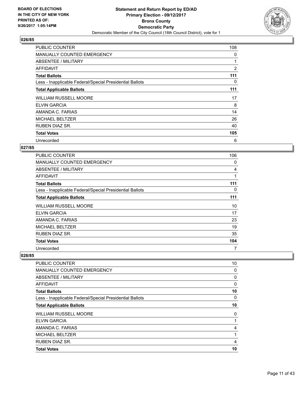

| <b>PUBLIC COUNTER</b>                                    | 108            |
|----------------------------------------------------------|----------------|
| <b>MANUALLY COUNTED EMERGENCY</b>                        | 0              |
| ABSENTEE / MILITARY                                      |                |
| AFFIDAVIT                                                | $\overline{2}$ |
| <b>Total Ballots</b>                                     | 111            |
| Less - Inapplicable Federal/Special Presidential Ballots | 0              |
| <b>Total Applicable Ballots</b>                          | 111            |
| <b>WILLIAM RUSSELL MOORE</b>                             | 17             |
| <b>ELVIN GARCIA</b>                                      | 8              |
| AMANDA C. FARIAS                                         | 14             |
| <b>MICHAEL BELTZER</b>                                   | 26             |
| <b>RUBEN DIAZ SR.</b>                                    | 40             |
| <b>Total Votes</b>                                       | 105            |
| Unrecorded                                               | 6              |

## **027/85**

| <b>PUBLIC COUNTER</b>                                    | 106 |
|----------------------------------------------------------|-----|
| <b>MANUALLY COUNTED EMERGENCY</b>                        | 0   |
| ABSENTEE / MILITARY                                      | 4   |
| AFFIDAVIT                                                | 1   |
| <b>Total Ballots</b>                                     | 111 |
| Less - Inapplicable Federal/Special Presidential Ballots | 0   |
| <b>Total Applicable Ballots</b>                          | 111 |
| <b>WILLIAM RUSSELL MOORE</b>                             | 10  |
| <b>ELVIN GARCIA</b>                                      | 17  |
| AMANDA C. FARIAS                                         | 23  |
| <b>MICHAEL BELTZER</b>                                   | 19  |
| <b>RUBEN DIAZ SR.</b>                                    | 35  |
| <b>Total Votes</b>                                       | 104 |
| Unrecorded                                               | 7   |

| <b>ELVIN GARCIA</b>                                      |    |
|----------------------------------------------------------|----|
| <b>WILLIAM RUSSELL MOORE</b>                             | 0  |
| <b>Total Applicable Ballots</b>                          | 10 |
| Less - Inapplicable Federal/Special Presidential Ballots | 0  |
| <b>Total Ballots</b>                                     | 10 |
| AFFIDAVIT                                                | 0  |
| ABSENTEE / MILITARY                                      | 0  |
| <b>MANUALLY COUNTED EMERGENCY</b>                        | 0  |
| <b>PUBLIC COUNTER</b>                                    | 10 |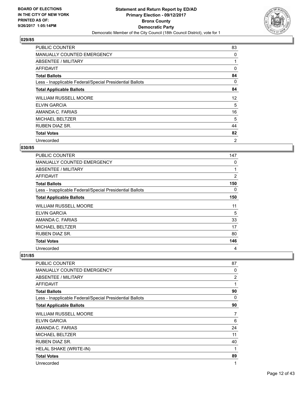

| <b>PUBLIC COUNTER</b>                                    | 83             |
|----------------------------------------------------------|----------------|
| MANUALLY COUNTED EMERGENCY                               | 0              |
| ABSENTEE / MILITARY                                      | 1              |
| <b>AFFIDAVIT</b>                                         | 0              |
| <b>Total Ballots</b>                                     | 84             |
| Less - Inapplicable Federal/Special Presidential Ballots | 0              |
| <b>Total Applicable Ballots</b>                          | 84             |
| <b>WILLIAM RUSSELL MOORE</b>                             | 12             |
| <b>ELVIN GARCIA</b>                                      | 5              |
| AMANDA C. FARIAS                                         | 16             |
| <b>MICHAEL BELTZER</b>                                   | 5              |
| RUBEN DIAZ SR.                                           | 44             |
| <b>Total Votes</b>                                       | 82             |
| Unrecorded                                               | $\overline{2}$ |

## **030/85**

| <b>PUBLIC COUNTER</b>                                    | 147            |
|----------------------------------------------------------|----------------|
| <b>MANUALLY COUNTED EMERGENCY</b>                        | 0              |
| ABSENTEE / MILITARY                                      | 1              |
| AFFIDAVIT                                                | $\overline{2}$ |
| <b>Total Ballots</b>                                     | 150            |
| Less - Inapplicable Federal/Special Presidential Ballots | 0              |
| <b>Total Applicable Ballots</b>                          | 150            |
| <b>WILLIAM RUSSELL MOORE</b>                             | 11             |
| <b>ELVIN GARCIA</b>                                      | 5              |
| AMANDA C. FARIAS                                         | 33             |
| <b>MICHAEL BELTZER</b>                                   | 17             |
| RUBEN DIAZ SR.                                           | 80             |
| <b>Total Votes</b>                                       | 146            |
| Unrecorded                                               | 4              |

| PUBLIC COUNTER                                           | 87 |
|----------------------------------------------------------|----|
| <b>MANUALLY COUNTED EMERGENCY</b>                        | 0  |
| <b>ABSENTEE / MILITARY</b>                               | 2  |
| AFFIDAVIT                                                | 1  |
| <b>Total Ballots</b>                                     | 90 |
| Less - Inapplicable Federal/Special Presidential Ballots | 0  |
| <b>Total Applicable Ballots</b>                          | 90 |
| WILLIAM RUSSELL MOORE                                    | 7  |
| <b>ELVIN GARCIA</b>                                      | 6  |
| AMANDA C. FARIAS                                         | 24 |
| <b>MICHAEL BELTZER</b>                                   | 11 |
| RUBEN DIAZ SR.                                           | 40 |
| HELAL SHAKE (WRITE-IN)                                   | 1  |
| <b>Total Votes</b>                                       | 89 |
| Unrecorded                                               | 1  |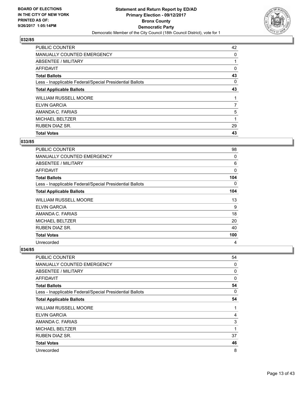

| <b>Total Votes</b>                                       | 43 |
|----------------------------------------------------------|----|
|                                                          |    |
| <b>RUBEN DIAZ SR.</b>                                    | 29 |
| <b>MICHAEL BELTZER</b>                                   | 1  |
| AMANDA C. FARIAS                                         | 5  |
| <b>ELVIN GARCIA</b>                                      | 7  |
| <b>WILLIAM RUSSELL MOORE</b>                             |    |
| <b>Total Applicable Ballots</b>                          | 43 |
| Less - Inapplicable Federal/Special Presidential Ballots | 0  |
| <b>Total Ballots</b>                                     | 43 |
| AFFIDAVIT                                                | 0  |
| ABSENTEE / MILITARY                                      |    |
| <b>MANUALLY COUNTED EMERGENCY</b>                        | 0  |
| <b>PUBLIC COUNTER</b>                                    | 42 |

# **033/85**

| PUBLIC COUNTER                                           | 98  |
|----------------------------------------------------------|-----|
| <b>MANUALLY COUNTED EMERGENCY</b>                        | 0   |
| ABSENTEE / MILITARY                                      | 6   |
| AFFIDAVIT                                                | 0   |
| <b>Total Ballots</b>                                     | 104 |
| Less - Inapplicable Federal/Special Presidential Ballots | 0   |
| <b>Total Applicable Ballots</b>                          | 104 |
| <b>WILLIAM RUSSELL MOORE</b>                             | 13  |
| ELVIN GARCIA                                             | 9   |
| AMANDA C. FARIAS                                         | 18  |
| <b>MICHAEL BELTZER</b>                                   | 20  |
| RUBEN DIAZ SR.                                           | 40  |
| <b>Total Votes</b>                                       | 100 |
| Unrecorded                                               | 4   |

| <b>PUBLIC COUNTER</b>                                    | 54 |
|----------------------------------------------------------|----|
| MANUALLY COUNTED EMERGENCY                               | 0  |
| ABSENTEE / MILITARY                                      | 0  |
| <b>AFFIDAVIT</b>                                         | 0  |
| <b>Total Ballots</b>                                     | 54 |
| Less - Inapplicable Federal/Special Presidential Ballots | 0  |
| <b>Total Applicable Ballots</b>                          | 54 |
| <b>WILLIAM RUSSELL MOORE</b>                             | 1  |
| <b>ELVIN GARCIA</b>                                      | 4  |
| AMANDA C. FARIAS                                         | 3  |
| <b>MICHAEL BELTZER</b>                                   | 1  |
| <b>RUBEN DIAZ SR.</b>                                    | 37 |
| <b>Total Votes</b>                                       | 46 |
| Unrecorded                                               | 8  |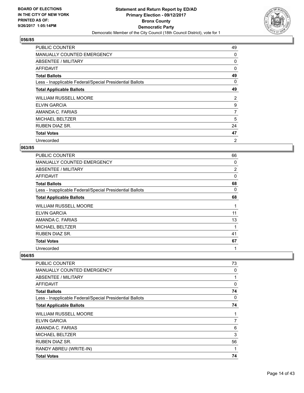

| <b>PUBLIC COUNTER</b>                                    | 49             |
|----------------------------------------------------------|----------------|
| MANUALLY COUNTED EMERGENCY                               | 0              |
| ABSENTEE / MILITARY                                      | 0              |
| <b>AFFIDAVIT</b>                                         | 0              |
| <b>Total Ballots</b>                                     | 49             |
| Less - Inapplicable Federal/Special Presidential Ballots | 0              |
| <b>Total Applicable Ballots</b>                          | 49             |
| <b>WILLIAM RUSSELL MOORE</b>                             | 2              |
| <b>ELVIN GARCIA</b>                                      | 9              |
| AMANDA C. FARIAS                                         | $\overline{7}$ |
| <b>MICHAEL BELTZER</b>                                   | 5              |
| <b>RUBEN DIAZ SR.</b>                                    | 24             |
| <b>Total Votes</b>                                       | 47             |
| Unrecorded                                               | 2              |

## **063/85**

| <b>PUBLIC COUNTER</b>                                    | 66             |
|----------------------------------------------------------|----------------|
| MANUALLY COUNTED EMERGENCY                               | 0              |
| ABSENTEE / MILITARY                                      | $\overline{2}$ |
| AFFIDAVIT                                                | 0              |
| <b>Total Ballots</b>                                     | 68             |
| Less - Inapplicable Federal/Special Presidential Ballots | 0              |
| <b>Total Applicable Ballots</b>                          | 68             |
| <b>WILLIAM RUSSELL MOORE</b>                             | 1              |
| <b>ELVIN GARCIA</b>                                      | 11             |
| AMANDA C. FARIAS                                         | 13             |
| <b>MICHAEL BELTZER</b>                                   | 1              |
| RUBEN DIAZ SR.                                           | 41             |
| <b>Total Votes</b>                                       | 67             |
| Unrecorded                                               | 1              |

| PUBLIC COUNTER                                           | 73 |
|----------------------------------------------------------|----|
| <b>MANUALLY COUNTED EMERGENCY</b>                        | 0  |
| ABSENTEE / MILITARY                                      | 1  |
| AFFIDAVIT                                                | 0  |
| <b>Total Ballots</b>                                     | 74 |
| Less - Inapplicable Federal/Special Presidential Ballots | 0  |
| <b>Total Applicable Ballots</b>                          | 74 |
| <b>WILLIAM RUSSELL MOORE</b>                             | 1  |
| <b>ELVIN GARCIA</b>                                      | 7  |
| AMANDA C. FARIAS                                         | 6  |
| <b>MICHAEL BELTZER</b>                                   | 3  |
| <b>RUBEN DIAZ SR.</b>                                    | 56 |
| RANDY ABREU (WRITE-IN)                                   | 1  |
| <b>Total Votes</b>                                       | 74 |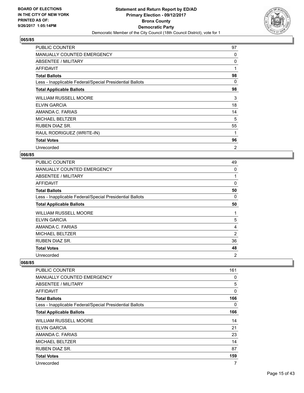

| <b>PUBLIC COUNTER</b>                                    | 97             |
|----------------------------------------------------------|----------------|
| <b>MANUALLY COUNTED EMERGENCY</b>                        | 0              |
| ABSENTEE / MILITARY                                      | 0              |
| AFFIDAVIT                                                | 1              |
| <b>Total Ballots</b>                                     | 98             |
| Less - Inapplicable Federal/Special Presidential Ballots | 0              |
| <b>Total Applicable Ballots</b>                          | 98             |
| <b>WILLIAM RUSSELL MOORE</b>                             | 3              |
| <b>ELVIN GARCIA</b>                                      | 18             |
| AMANDA C. FARIAS                                         | 14             |
| <b>MICHAEL BELTZER</b>                                   | 5              |
| <b>RUBEN DIAZ SR.</b>                                    | 55             |
| RAUL RODRIGUEZ (WRITE-IN)                                | 1              |
| <b>Total Votes</b>                                       | 96             |
| Unrecorded                                               | $\overline{2}$ |

#### **066/85**

| <b>PUBLIC COUNTER</b>                                    | 49             |
|----------------------------------------------------------|----------------|
| MANUALLY COUNTED EMERGENCY                               | 0              |
| ABSENTEE / MILITARY                                      |                |
| AFFIDAVIT                                                | 0              |
| <b>Total Ballots</b>                                     | 50             |
| Less - Inapplicable Federal/Special Presidential Ballots | 0              |
| <b>Total Applicable Ballots</b>                          | 50             |
| <b>WILLIAM RUSSELL MOORE</b>                             | 1              |
| ELVIN GARCIA                                             | 5              |
| AMANDA C. FARIAS                                         | 4              |
| <b>MICHAEL BELTZER</b>                                   | 2              |
| <b>RUBEN DIAZ SR.</b>                                    | 36             |
| <b>Total Votes</b>                                       | 48             |
| Unrecorded                                               | $\overline{2}$ |

| PUBLIC COUNTER                                           | 161 |
|----------------------------------------------------------|-----|
| <b>MANUALLY COUNTED EMERGENCY</b>                        | 0   |
| ABSENTEE / MILITARY                                      | 5   |
| AFFIDAVIT                                                | 0   |
| <b>Total Ballots</b>                                     | 166 |
| Less - Inapplicable Federal/Special Presidential Ballots | 0   |
| <b>Total Applicable Ballots</b>                          | 166 |
| <b>WILLIAM RUSSELL MOORE</b>                             | 14  |
| ELVIN GARCIA                                             | 21  |
| AMANDA C. FARIAS                                         | 23  |
| <b>MICHAEL BELTZER</b>                                   | 14  |
| <b>RUBEN DIAZ SR.</b>                                    | 87  |
| <b>Total Votes</b>                                       | 159 |
| Unrecorded                                               | 7   |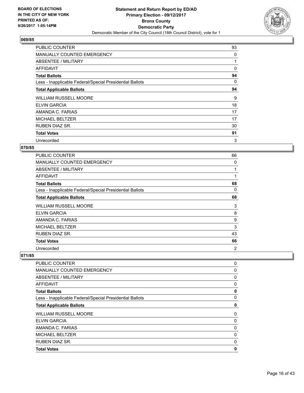

| <b>PUBLIC COUNTER</b>                                    | 93 |
|----------------------------------------------------------|----|
| MANUALLY COUNTED EMERGENCY                               | 0  |
| ABSENTEE / MILITARY                                      |    |
| AFFIDAVIT                                                | 0  |
| <b>Total Ballots</b>                                     | 94 |
| Less - Inapplicable Federal/Special Presidential Ballots | 0  |
| <b>Total Applicable Ballots</b>                          | 94 |
| <b>WILLIAM RUSSELL MOORE</b>                             | 9  |
| <b>ELVIN GARCIA</b>                                      | 18 |
| AMANDA C. FARIAS                                         | 17 |
| <b>MICHAEL BELTZER</b>                                   | 17 |
| <b>RUBEN DIAZ SR.</b>                                    | 30 |
|                                                          |    |
| <b>Total Votes</b>                                       | 91 |

## **070/85**

| PUBLIC COUNTER                                           | 66 |
|----------------------------------------------------------|----|
| MANUALLY COUNTED EMERGENCY                               | 0  |
| ABSENTEE / MILITARY                                      |    |
| <b>AFFIDAVIT</b>                                         | 1  |
| <b>Total Ballots</b>                                     | 68 |
| Less - Inapplicable Federal/Special Presidential Ballots | 0  |
| <b>Total Applicable Ballots</b>                          | 68 |
| <b>WILLIAM RUSSELL MOORE</b>                             | 3  |
| <b>ELVIN GARCIA</b>                                      | 8  |
| AMANDA C. FARIAS                                         | 9  |
| <b>MICHAEL BELTZER</b>                                   | 3  |
| <b>RUBEN DIAZ SR.</b>                                    | 43 |
| <b>Total Votes</b>                                       | 66 |
| Unrecorded                                               | 2  |

| PUBLIC COUNTER                                           | 0 |
|----------------------------------------------------------|---|
| <b>MANUALLY COUNTED EMERGENCY</b>                        | 0 |
| ABSENTEE / MILITARY                                      | 0 |
| AFFIDAVIT                                                | 0 |
| <b>Total Ballots</b>                                     | 0 |
| Less - Inapplicable Federal/Special Presidential Ballots | 0 |
| <b>Total Applicable Ballots</b>                          | 0 |
| <b>WILLIAM RUSSELL MOORE</b>                             | 0 |
| <b>ELVIN GARCIA</b>                                      | 0 |
| AMANDA C. FARIAS                                         | 0 |
| MICHAEL BELTZER                                          | 0 |
| <b>RUBEN DIAZ SR.</b>                                    | 0 |
| <b>Total Votes</b>                                       | 0 |
|                                                          |   |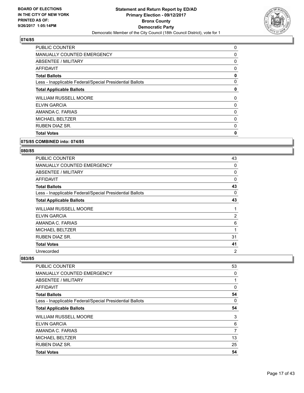

| PUBLIC COUNTER                                           | 0 |
|----------------------------------------------------------|---|
| MANUALLY COUNTED EMERGENCY                               | 0 |
| ABSENTEE / MILITARY                                      | 0 |
| <b>AFFIDAVIT</b>                                         | 0 |
| <b>Total Ballots</b>                                     | 0 |
| Less - Inapplicable Federal/Special Presidential Ballots | 0 |
| <b>Total Applicable Ballots</b>                          | 0 |
| <b>WILLIAM RUSSELL MOORE</b>                             | 0 |
| <b>ELVIN GARCIA</b>                                      | 0 |
| AMANDA C. FARIAS                                         | 0 |
| <b>MICHAEL BELTZER</b>                                   | 0 |
| <b>RUBEN DIAZ SR.</b>                                    | 0 |
| <b>Total Votes</b>                                       | 0 |
|                                                          |   |

#### **075/85 COMBINED into: 074/85**

# **080/85**

| <b>PUBLIC COUNTER</b>                                    | 43             |
|----------------------------------------------------------|----------------|
| MANUALLY COUNTED EMERGENCY                               | 0              |
| ABSENTEE / MILITARY                                      | 0              |
| AFFIDAVIT                                                | 0              |
| <b>Total Ballots</b>                                     | 43             |
| Less - Inapplicable Federal/Special Presidential Ballots | 0              |
| <b>Total Applicable Ballots</b>                          | 43             |
| <b>WILLIAM RUSSELL MOORE</b>                             | 1              |
| <b>ELVIN GARCIA</b>                                      | 2              |
| AMANDA C. FARIAS                                         | 6              |
| <b>MICHAEL BELTZER</b>                                   | 1              |
| <b>RUBEN DIAZ SR.</b>                                    | 31             |
| <b>Total Votes</b>                                       | 41             |
| Unrecorded                                               | $\overline{2}$ |

| PUBLIC COUNTER                                           | 53 |
|----------------------------------------------------------|----|
| MANUALLY COUNTED EMERGENCY                               | 0  |
| ABSENTEE / MILITARY                                      | 1  |
| AFFIDAVIT                                                | 0  |
| <b>Total Ballots</b>                                     | 54 |
| Less - Inapplicable Federal/Special Presidential Ballots | 0  |
| <b>Total Applicable Ballots</b>                          | 54 |
| <b>WILLIAM RUSSELL MOORE</b>                             | 3  |
| <b>ELVIN GARCIA</b>                                      | 6  |
| AMANDA C. FARIAS                                         | 7  |
| <b>MICHAEL BELTZER</b>                                   | 13 |
| <b>RUBEN DIAZ SR.</b>                                    | 25 |
| <b>Total Votes</b>                                       | 54 |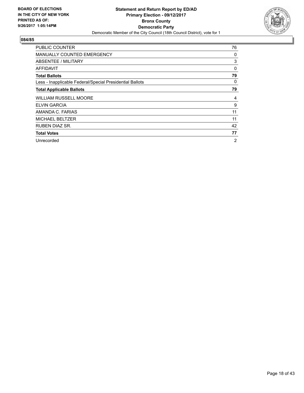

| <b>PUBLIC COUNTER</b>                                    | 76 |
|----------------------------------------------------------|----|
| <b>MANUALLY COUNTED EMERGENCY</b>                        | 0  |
| <b>ABSENTEE / MILITARY</b>                               | 3  |
| AFFIDAVIT                                                | 0  |
| <b>Total Ballots</b>                                     | 79 |
| Less - Inapplicable Federal/Special Presidential Ballots | 0  |
| <b>Total Applicable Ballots</b>                          | 79 |
|                                                          |    |
| <b>WILLIAM RUSSELL MOORE</b>                             | 4  |
| ELVIN GARCIA                                             | 9  |
| AMANDA C. FARIAS                                         | 11 |
| <b>MICHAEL BELTZER</b>                                   | 11 |
| RUBEN DIAZ SR.                                           | 42 |
| <b>Total Votes</b>                                       | 77 |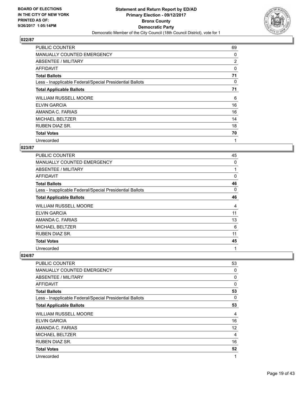

| <b>PUBLIC COUNTER</b>                                    | 69             |
|----------------------------------------------------------|----------------|
| MANUALLY COUNTED EMERGENCY                               | 0              |
| <b>ABSENTEE / MILITARY</b>                               | $\overline{2}$ |
| AFFIDAVIT                                                | 0              |
| <b>Total Ballots</b>                                     | 71             |
| Less - Inapplicable Federal/Special Presidential Ballots | 0              |
| <b>Total Applicable Ballots</b>                          | 71             |
| <b>WILLIAM RUSSELL MOORE</b>                             | 6              |
| <b>ELVIN GARCIA</b>                                      | 16             |
| AMANDA C. FARIAS                                         | 16             |
| <b>MICHAEL BELTZER</b>                                   | 14             |
| <b>RUBEN DIAZ SR.</b>                                    | 18             |
| <b>Total Votes</b>                                       | 70             |
| Unrecorded                                               | 1              |

## **023/87**

| PUBLIC COUNTER                                           | 45 |
|----------------------------------------------------------|----|
| <b>MANUALLY COUNTED EMERGENCY</b>                        | 0  |
| ABSENTEE / MILITARY                                      |    |
| AFFIDAVIT                                                | 0  |
| <b>Total Ballots</b>                                     | 46 |
| Less - Inapplicable Federal/Special Presidential Ballots | 0  |
| <b>Total Applicable Ballots</b>                          | 46 |
| <b>WILLIAM RUSSELL MOORE</b>                             | 4  |
| <b>ELVIN GARCIA</b>                                      | 11 |
| AMANDA C. FARIAS                                         | 13 |
| <b>MICHAEL BELTZER</b>                                   | 6  |
| <b>RUBEN DIAZ SR.</b>                                    | 11 |
| <b>Total Votes</b>                                       | 45 |
| Unrecorded                                               | 1  |

| PUBLIC COUNTER                                           | 53 |
|----------------------------------------------------------|----|
| <b>MANUALLY COUNTED EMERGENCY</b>                        | 0  |
| ABSENTEE / MILITARY                                      | 0  |
| AFFIDAVIT                                                | 0  |
| <b>Total Ballots</b>                                     | 53 |
| Less - Inapplicable Federal/Special Presidential Ballots | 0  |
| <b>Total Applicable Ballots</b>                          | 53 |
| <b>WILLIAM RUSSELL MOORE</b>                             | 4  |
| <b>ELVIN GARCIA</b>                                      | 16 |
| AMANDA C. FARIAS                                         | 12 |
| <b>MICHAEL BELTZER</b>                                   | 4  |
| <b>RUBEN DIAZ SR.</b>                                    | 16 |
| <b>Total Votes</b>                                       | 52 |
| Unrecorded                                               | 1  |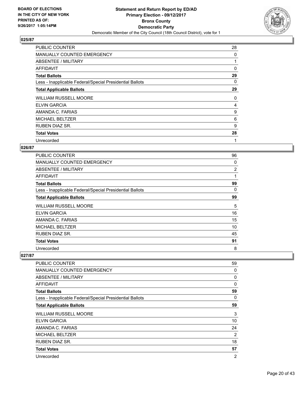

| <b>PUBLIC COUNTER</b>                                    | 28 |
|----------------------------------------------------------|----|
| MANUALLY COUNTED EMERGENCY                               | 0  |
| ABSENTEE / MILITARY                                      |    |
| AFFIDAVIT                                                | 0  |
| <b>Total Ballots</b>                                     | 29 |
| Less - Inapplicable Federal/Special Presidential Ballots | 0  |
| <b>Total Applicable Ballots</b>                          | 29 |
| <b>WILLIAM RUSSELL MOORE</b>                             | 0  |
| <b>ELVIN GARCIA</b>                                      | 4  |
| AMANDA C. FARIAS                                         | 9  |
| <b>MICHAEL BELTZER</b>                                   | 6  |
| <b>RUBEN DIAZ SR.</b>                                    | 9  |
| <b>Total Votes</b>                                       | 28 |
| Unrecorded                                               | 1  |

## **026/87**

| <b>PUBLIC COUNTER</b>                                    | 96             |
|----------------------------------------------------------|----------------|
| MANUALLY COUNTED EMERGENCY                               | 0              |
| ABSENTEE / MILITARY                                      | $\overline{2}$ |
| AFFIDAVIT                                                | 1              |
| <b>Total Ballots</b>                                     | 99             |
| Less - Inapplicable Federal/Special Presidential Ballots | 0              |
| <b>Total Applicable Ballots</b>                          | 99             |
| <b>WILLIAM RUSSELL MOORE</b>                             | 5              |
| <b>ELVIN GARCIA</b>                                      | 16             |
| AMANDA C. FARIAS                                         | 15             |
| <b>MICHAEL BELTZER</b>                                   | 10             |
| RUBEN DIAZ SR.                                           | 45             |
| <b>Total Votes</b>                                       | 91             |
| Unrecorded                                               | 8              |

| <b>PUBLIC COUNTER</b>                                    | 59             |
|----------------------------------------------------------|----------------|
| MANUALLY COUNTED EMERGENCY                               | 0              |
| ABSENTEE / MILITARY                                      | 0              |
| <b>AFFIDAVIT</b>                                         | 0              |
| <b>Total Ballots</b>                                     | 59             |
| Less - Inapplicable Federal/Special Presidential Ballots | 0              |
| <b>Total Applicable Ballots</b>                          | 59             |
| <b>WILLIAM RUSSELL MOORE</b>                             | 3              |
| ELVIN GARCIA                                             | 10             |
| AMANDA C. FARIAS                                         | 24             |
| <b>MICHAEL BELTZER</b>                                   | $\overline{2}$ |
| <b>RUBEN DIAZ SR.</b>                                    | 18             |
| <b>Total Votes</b>                                       | 57             |
| Unrecorded                                               | $\overline{2}$ |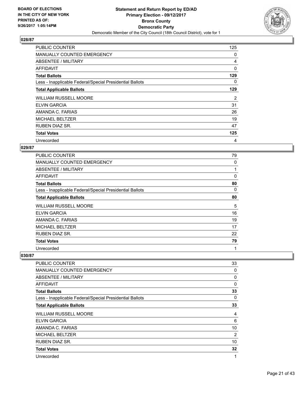

| <b>PUBLIC COUNTER</b>                                    | 125 |
|----------------------------------------------------------|-----|
| <b>MANUALLY COUNTED EMERGENCY</b>                        | 0   |
| ABSENTEE / MILITARY                                      | 4   |
| AFFIDAVIT                                                | 0   |
| <b>Total Ballots</b>                                     | 129 |
| Less - Inapplicable Federal/Special Presidential Ballots | 0   |
| <b>Total Applicable Ballots</b>                          | 129 |
|                                                          |     |
| <b>WILLIAM RUSSELL MOORE</b>                             | 2   |
| ELVIN GARCIA                                             | 31  |
| AMANDA C. FARIAS                                         | 26  |
| <b>MICHAEL BELTZER</b>                                   | 19  |
| <b>RUBEN DIAZ SR.</b>                                    | 47  |
| <b>Total Votes</b>                                       | 125 |

## **029/87**

| <b>PUBLIC COUNTER</b>                                    | 79 |
|----------------------------------------------------------|----|
| <b>MANUALLY COUNTED EMERGENCY</b>                        | 0  |
| ABSENTEE / MILITARY                                      | 1  |
| AFFIDAVIT                                                | 0  |
| <b>Total Ballots</b>                                     | 80 |
| Less - Inapplicable Federal/Special Presidential Ballots | 0  |
| <b>Total Applicable Ballots</b>                          | 80 |
| <b>WILLIAM RUSSELL MOORE</b>                             | 5  |
| <b>ELVIN GARCIA</b>                                      | 16 |
| AMANDA C. FARIAS                                         | 19 |
| <b>MICHAEL BELTZER</b>                                   | 17 |
| <b>RUBEN DIAZ SR.</b>                                    | 22 |
| <b>Total Votes</b>                                       | 79 |
| Unrecorded                                               | 1  |

| <b>PUBLIC COUNTER</b>                                    | 33 |
|----------------------------------------------------------|----|
|                                                          |    |
| MANUALLY COUNTED EMERGENCY                               | 0  |
| <b>ABSENTEE / MILITARY</b>                               | 0  |
| <b>AFFIDAVIT</b>                                         | 0  |
| <b>Total Ballots</b>                                     | 33 |
| Less - Inapplicable Federal/Special Presidential Ballots | 0  |
| <b>Total Applicable Ballots</b>                          | 33 |
| <b>WILLIAM RUSSELL MOORE</b>                             | 4  |
| ELVIN GARCIA                                             | 6  |
| AMANDA C. FARIAS                                         | 10 |
| <b>MICHAEL BELTZER</b>                                   | 2  |
| <b>RUBEN DIAZ SR.</b>                                    | 10 |
| <b>Total Votes</b>                                       | 32 |
| Unrecorded                                               | 1  |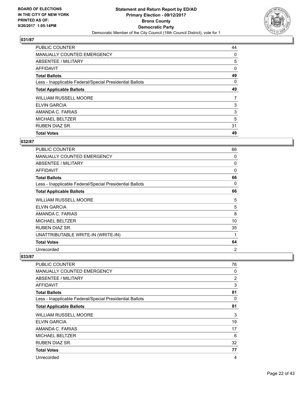

| <b>Total Votes</b>                                       | 49 |
|----------------------------------------------------------|----|
|                                                          |    |
| <b>RUBEN DIAZ SR.</b>                                    | 31 |
| <b>MICHAEL BELTZER</b>                                   | 5  |
| AMANDA C. FARIAS                                         | 3  |
| <b>ELVIN GARCIA</b>                                      | 3  |
| <b>WILLIAM RUSSELL MOORE</b>                             | 7  |
| <b>Total Applicable Ballots</b>                          | 49 |
| Less - Inapplicable Federal/Special Presidential Ballots | 0  |
| <b>Total Ballots</b>                                     | 49 |
| AFFIDAVIT                                                | 0  |
| ABSENTEE / MILITARY                                      | 5  |
| <b>MANUALLY COUNTED EMERGENCY</b>                        | 0  |
| PUBLIC COUNTER                                           | 44 |

# **032/87**

| PUBLIC COUNTER                                           | 66 |
|----------------------------------------------------------|----|
| <b>MANUALLY COUNTED EMERGENCY</b>                        | 0  |
| ABSENTEE / MILITARY                                      | 0  |
| <b>AFFIDAVIT</b>                                         | 0  |
| <b>Total Ballots</b>                                     | 66 |
| Less - Inapplicable Federal/Special Presidential Ballots | 0  |
| <b>Total Applicable Ballots</b>                          | 66 |
| <b>WILLIAM RUSSELL MOORE</b>                             | 5  |
| ELVIN GARCIA                                             | 5  |
| AMANDA C. FARIAS                                         | 8  |
| <b>MICHAEL BELTZER</b>                                   | 10 |
| RUBEN DIAZ SR.                                           | 35 |
| UNATTRIBUTABLE WRITE-IN (WRITE-IN)                       | 1  |
| <b>Total Votes</b>                                       | 64 |
| Unrecorded                                               | 2  |

| PUBLIC COUNTER                                           | 76 |
|----------------------------------------------------------|----|
| MANUALLY COUNTED EMERGENCY                               | 0  |
| ABSENTEE / MILITARY                                      | 2  |
| <b>AFFIDAVIT</b>                                         | 3  |
| <b>Total Ballots</b>                                     | 81 |
| Less - Inapplicable Federal/Special Presidential Ballots | 0  |
| <b>Total Applicable Ballots</b>                          | 81 |
| <b>WILLIAM RUSSELL MOORE</b>                             | 3  |
| ELVIN GARCIA                                             | 19 |
| AMANDA C. FARIAS                                         | 17 |
| <b>MICHAEL BELTZER</b>                                   | 6  |
| <b>RUBEN DIAZ SR.</b>                                    | 32 |
| <b>Total Votes</b>                                       | 77 |
| Unrecorded                                               | 4  |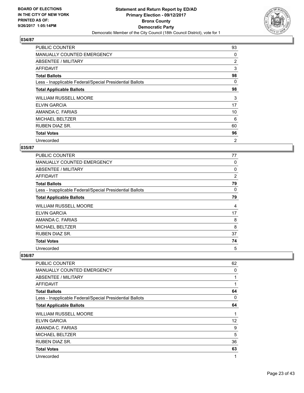

| <b>PUBLIC COUNTER</b>                                    | 93             |
|----------------------------------------------------------|----------------|
| MANUALLY COUNTED EMERGENCY                               | 0              |
| ABSENTEE / MILITARY                                      | $\overline{2}$ |
| AFFIDAVIT                                                | 3              |
| <b>Total Ballots</b>                                     | 98             |
| Less - Inapplicable Federal/Special Presidential Ballots | 0              |
| <b>Total Applicable Ballots</b>                          | 98             |
| <b>WILLIAM RUSSELL MOORE</b>                             | 3              |
| ELVIN GARCIA                                             | 17             |
| AMANDA C. FARIAS                                         | 10             |
| <b>MICHAEL BELTZER</b>                                   | 6              |
| <b>RUBEN DIAZ SR.</b>                                    | 60             |
| <b>Total Votes</b>                                       | 96             |
| Unrecorded                                               | 2              |

## **035/87**

| <b>PUBLIC COUNTER</b>                                    | 77 |
|----------------------------------------------------------|----|
| <b>MANUALLY COUNTED EMERGENCY</b>                        | 0  |
| ABSENTEE / MILITARY                                      | 0  |
| AFFIDAVIT                                                | 2  |
| <b>Total Ballots</b>                                     | 79 |
| Less - Inapplicable Federal/Special Presidential Ballots | 0  |
| <b>Total Applicable Ballots</b>                          | 79 |
| <b>WILLIAM RUSSELL MOORE</b>                             | 4  |
| <b>ELVIN GARCIA</b>                                      | 17 |
| AMANDA C. FARIAS                                         | 8  |
| <b>MICHAEL BELTZER</b>                                   | 8  |
| <b>RUBEN DIAZ SR.</b>                                    | 37 |
| <b>Total Votes</b>                                       | 74 |
| Unrecorded                                               | 5  |

| <b>PUBLIC COUNTER</b>                                    | 62           |
|----------------------------------------------------------|--------------|
| MANUALLY COUNTED EMERGENCY                               | 0            |
| <b>ABSENTEE / MILITARY</b>                               | $\mathbf{1}$ |
| <b>AFFIDAVIT</b>                                         | 1            |
| <b>Total Ballots</b>                                     | 64           |
| Less - Inapplicable Federal/Special Presidential Ballots | 0            |
| <b>Total Applicable Ballots</b>                          | 64           |
| <b>WILLIAM RUSSELL MOORE</b>                             | 1            |
| ELVIN GARCIA                                             | 12           |
| AMANDA C. FARIAS                                         | 9            |
| <b>MICHAEL BELTZER</b>                                   | 5            |
| <b>RUBEN DIAZ SR.</b>                                    | 36           |
| <b>Total Votes</b>                                       | 63           |
| Unrecorded                                               | 1            |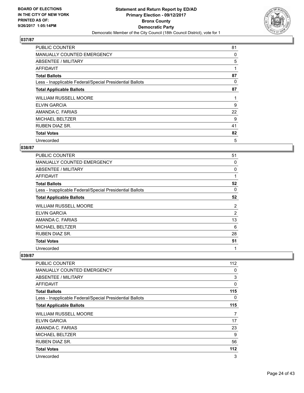

| <b>PUBLIC COUNTER</b>                                    | 81 |
|----------------------------------------------------------|----|
| MANUALLY COUNTED EMERGENCY                               | 0  |
| ABSENTEE / MILITARY                                      | 5  |
| AFFIDAVIT                                                | 1  |
| <b>Total Ballots</b>                                     | 87 |
| Less - Inapplicable Federal/Special Presidential Ballots | 0  |
| <b>Total Applicable Ballots</b>                          | 87 |
| <b>WILLIAM RUSSELL MOORE</b>                             | 1  |
| <b>ELVIN GARCIA</b>                                      | 9  |
| AMANDA C. FARIAS                                         | 22 |
| <b>MICHAEL BELTZER</b>                                   | 9  |
| RUBEN DIAZ SR.                                           | 41 |
| <b>Total Votes</b>                                       | 82 |
| Unrecorded                                               | 5  |

## **038/87**

| PUBLIC COUNTER                                           | 51             |
|----------------------------------------------------------|----------------|
| <b>MANUALLY COUNTED EMERGENCY</b>                        | 0              |
| ABSENTEE / MILITARY                                      | 0              |
| <b>AFFIDAVIT</b>                                         | 1              |
| <b>Total Ballots</b>                                     | 52             |
| Less - Inapplicable Federal/Special Presidential Ballots | 0              |
| <b>Total Applicable Ballots</b>                          | 52             |
| <b>WILLIAM RUSSELL MOORE</b>                             | 2              |
| <b>ELVIN GARCIA</b>                                      | $\overline{2}$ |
| AMANDA C. FARIAS                                         | 13             |
| <b>MICHAEL BELTZER</b>                                   | 6              |
| <b>RUBEN DIAZ SR.</b>                                    | 28             |
| <b>Total Votes</b>                                       | 51             |
| Unrecorded                                               | 1              |

| PUBLIC COUNTER                                           | 112 |
|----------------------------------------------------------|-----|
| MANUALLY COUNTED EMERGENCY                               | 0   |
| <b>ABSENTEE / MILITARY</b>                               | 3   |
| AFFIDAVIT                                                | 0   |
| <b>Total Ballots</b>                                     | 115 |
| Less - Inapplicable Federal/Special Presidential Ballots | 0   |
| <b>Total Applicable Ballots</b>                          | 115 |
| <b>WILLIAM RUSSELL MOORE</b>                             | 7   |
| <b>ELVIN GARCIA</b>                                      | 17  |
| AMANDA C. FARIAS                                         | 23  |
| <b>MICHAEL BELTZER</b>                                   | 9   |
| <b>RUBEN DIAZ SR.</b>                                    | 56  |
| <b>Total Votes</b>                                       | 112 |
| Unrecorded                                               | 3   |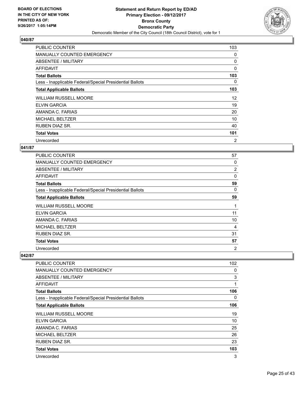

| <b>PUBLIC COUNTER</b>                                    | 103            |
|----------------------------------------------------------|----------------|
| <b>MANUALLY COUNTED EMERGENCY</b>                        | 0              |
| ABSENTEE / MILITARY                                      | 0              |
| AFFIDAVIT                                                | 0              |
| <b>Total Ballots</b>                                     | 103            |
| Less - Inapplicable Federal/Special Presidential Ballots | 0              |
| <b>Total Applicable Ballots</b>                          | 103            |
| <b>WILLIAM RUSSELL MOORE</b>                             | 12             |
| ELVIN GARCIA                                             | 19             |
| AMANDA C. FARIAS                                         | 20             |
| <b>MICHAEL BELTZER</b>                                   | 10             |
| <b>RUBEN DIAZ SR.</b>                                    | 40             |
| <b>Total Votes</b>                                       | 101            |
| Unrecorded                                               | $\overline{2}$ |

## **041/87**

| <b>PUBLIC COUNTER</b>                                    | 57             |
|----------------------------------------------------------|----------------|
| <b>MANUALLY COUNTED EMERGENCY</b>                        | 0              |
| ABSENTEE / MILITARY                                      | $\overline{2}$ |
| AFFIDAVIT                                                | 0              |
| <b>Total Ballots</b>                                     | 59             |
| Less - Inapplicable Federal/Special Presidential Ballots | 0              |
| <b>Total Applicable Ballots</b>                          | 59             |
| <b>WILLIAM RUSSELL MOORE</b>                             | 1              |
| <b>ELVIN GARCIA</b>                                      | 11             |
| AMANDA C. FARIAS                                         | 10             |
| <b>MICHAEL BELTZER</b>                                   | 4              |
| <b>RUBEN DIAZ SR.</b>                                    | 31             |
| <b>Total Votes</b>                                       | 57             |
| Unrecorded                                               | 2              |

| PUBLIC COUNTER                                           | 102 |
|----------------------------------------------------------|-----|
| <b>MANUALLY COUNTED EMERGENCY</b>                        | 0   |
| ABSENTEE / MILITARY                                      | 3   |
| AFFIDAVIT                                                | 1   |
| <b>Total Ballots</b>                                     | 106 |
| Less - Inapplicable Federal/Special Presidential Ballots | 0   |
| <b>Total Applicable Ballots</b>                          | 106 |
| <b>WILLIAM RUSSELL MOORE</b>                             | 19  |
| <b>ELVIN GARCIA</b>                                      | 10  |
| AMANDA C. FARIAS                                         | 25  |
| <b>MICHAEL BELTZER</b>                                   | 26  |
| <b>RUBEN DIAZ SR.</b>                                    | 23  |
| <b>Total Votes</b>                                       | 103 |
| Unrecorded                                               | 3   |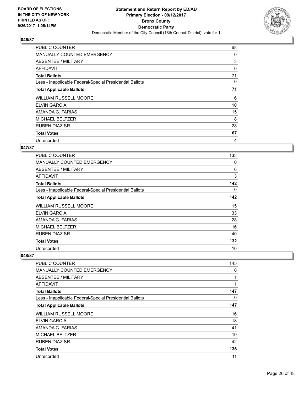

| <b>PUBLIC COUNTER</b>                                    | 68 |
|----------------------------------------------------------|----|
| MANUALLY COUNTED EMERGENCY                               | 0  |
| ABSENTEE / MILITARY                                      | 3  |
| <b>AFFIDAVIT</b>                                         | 0  |
| <b>Total Ballots</b>                                     | 71 |
| Less - Inapplicable Federal/Special Presidential Ballots | 0  |
| <b>Total Applicable Ballots</b>                          | 71 |
| <b>WILLIAM RUSSELL MOORE</b>                             | 6  |
| <b>ELVIN GARCIA</b>                                      | 10 |
| AMANDA C. FARIAS                                         | 15 |
| <b>MICHAEL BELTZER</b>                                   | 8  |
| RUBEN DIAZ SR.                                           | 28 |
| <b>Total Votes</b>                                       | 67 |
| Unrecorded                                               | 4  |

## **047/87**

| <b>PUBLIC COUNTER</b>                                    | 133 |
|----------------------------------------------------------|-----|
| <b>MANUALLY COUNTED EMERGENCY</b>                        | 0   |
| ABSENTEE / MILITARY                                      | 6   |
| AFFIDAVIT                                                | 3   |
| <b>Total Ballots</b>                                     | 142 |
| Less - Inapplicable Federal/Special Presidential Ballots | 0   |
| <b>Total Applicable Ballots</b>                          | 142 |
| <b>WILLIAM RUSSELL MOORE</b>                             | 15  |
| <b>ELVIN GARCIA</b>                                      | 33  |
| AMANDA C. FARIAS                                         | 28  |
| <b>MICHAEL BELTZER</b>                                   | 16  |
| RUBEN DIAZ SR.                                           | 40  |
| <b>Total Votes</b>                                       | 132 |
| Unrecorded                                               | 10  |

| <b>PUBLIC COUNTER</b>                                    | 145 |
|----------------------------------------------------------|-----|
| <b>MANUALLY COUNTED EMERGENCY</b>                        | 0   |
| ABSENTEE / MILITARY                                      |     |
| <b>AFFIDAVIT</b>                                         | 1   |
| <b>Total Ballots</b>                                     | 147 |
| Less - Inapplicable Federal/Special Presidential Ballots | 0   |
| <b>Total Applicable Ballots</b>                          | 147 |
| <b>WILLIAM RUSSELL MOORE</b>                             | 16  |
| ELVIN GARCIA                                             | 18  |
| AMANDA C. FARIAS                                         | 41  |
| <b>MICHAEL BELTZER</b>                                   | 19  |
| <b>RUBEN DIAZ SR.</b>                                    | 42  |
| <b>Total Votes</b>                                       | 136 |
| Unrecorded                                               | 11  |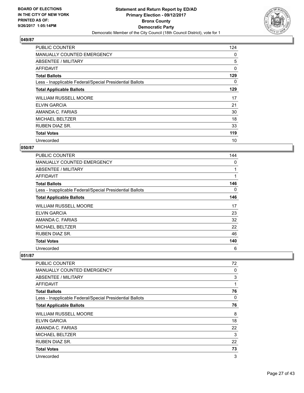

| <b>PUBLIC COUNTER</b>                                    | 124 |
|----------------------------------------------------------|-----|
| <b>MANUALLY COUNTED EMERGENCY</b>                        | 0   |
| ABSENTEE / MILITARY                                      | 5   |
| AFFIDAVIT                                                | 0   |
| <b>Total Ballots</b>                                     | 129 |
| Less - Inapplicable Federal/Special Presidential Ballots | 0   |
| <b>Total Applicable Ballots</b>                          | 129 |
| <b>WILLIAM RUSSELL MOORE</b>                             | 17  |
| <b>ELVIN GARCIA</b>                                      | 21  |
| AMANDA C. FARIAS                                         | 30  |
| <b>MICHAEL BELTZER</b>                                   | 18  |
| <b>RUBEN DIAZ SR.</b>                                    | 33  |
| <b>Total Votes</b>                                       | 119 |
| Unrecorded                                               | 10  |

## **050/87**

| <b>PUBLIC COUNTER</b>                                    | 144 |
|----------------------------------------------------------|-----|
| <b>MANUALLY COUNTED EMERGENCY</b>                        | 0   |
| ABSENTEE / MILITARY                                      |     |
| AFFIDAVIT                                                | 1   |
| <b>Total Ballots</b>                                     | 146 |
| Less - Inapplicable Federal/Special Presidential Ballots | 0   |
| <b>Total Applicable Ballots</b>                          | 146 |
| <b>WILLIAM RUSSELL MOORE</b>                             | 17  |
| <b>ELVIN GARCIA</b>                                      | 23  |
| AMANDA C. FARIAS                                         | 32  |
| <b>MICHAEL BELTZER</b>                                   | 22  |
| RUBEN DIAZ SR.                                           | 46  |
| <b>Total Votes</b>                                       | 140 |
| Unrecorded                                               | 6   |

| PUBLIC COUNTER                                           | 72 |
|----------------------------------------------------------|----|
| <b>MANUALLY COUNTED EMERGENCY</b>                        | 0  |
| ABSENTEE / MILITARY                                      | 3  |
| AFFIDAVIT                                                | 1  |
| <b>Total Ballots</b>                                     | 76 |
| Less - Inapplicable Federal/Special Presidential Ballots | 0  |
| <b>Total Applicable Ballots</b>                          | 76 |
| <b>WILLIAM RUSSELL MOORE</b>                             | 8  |
| <b>ELVIN GARCIA</b>                                      | 18 |
| AMANDA C. FARIAS                                         | 22 |
| <b>MICHAEL BELTZER</b>                                   | 3  |
| RUBEN DIAZ SR.                                           | 22 |
| <b>Total Votes</b>                                       | 73 |
| Unrecorded                                               | 3  |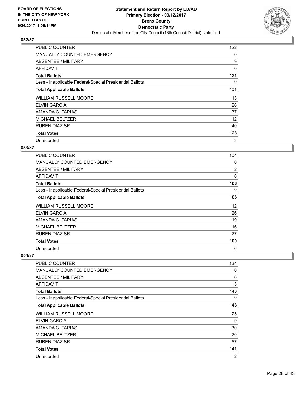

| <b>PUBLIC COUNTER</b>                                    | 122 |
|----------------------------------------------------------|-----|
| <b>MANUALLY COUNTED EMERGENCY</b>                        | 0   |
| <b>ABSENTEE / MILITARY</b>                               | 9   |
| AFFIDAVIT                                                | 0   |
| <b>Total Ballots</b>                                     | 131 |
| Less - Inapplicable Federal/Special Presidential Ballots | 0   |
| <b>Total Applicable Ballots</b>                          | 131 |
| <b>WILLIAM RUSSELL MOORE</b>                             | 13  |
| <b>ELVIN GARCIA</b>                                      | 26  |
| AMANDA C. FARIAS                                         | 37  |
| <b>MICHAEL BELTZER</b>                                   | 12  |
| <b>RUBEN DIAZ SR.</b>                                    | 40  |
| <b>Total Votes</b>                                       | 128 |
| Unrecorded                                               | 3   |

## **053/87**

| <b>PUBLIC COUNTER</b>                                    | 104 |
|----------------------------------------------------------|-----|
| <b>MANUALLY COUNTED EMERGENCY</b>                        | 0   |
| ABSENTEE / MILITARY                                      | 2   |
| AFFIDAVIT                                                | 0   |
| <b>Total Ballots</b>                                     | 106 |
| Less - Inapplicable Federal/Special Presidential Ballots | 0   |
| <b>Total Applicable Ballots</b>                          | 106 |
| <b>WILLIAM RUSSELL MOORE</b>                             | 12  |
| <b>ELVIN GARCIA</b>                                      | 26  |
| AMANDA C. FARIAS                                         | 19  |
| <b>MICHAEL BELTZER</b>                                   | 16  |
| RUBEN DIAZ SR.                                           | 27  |
| <b>Total Votes</b>                                       | 100 |
| Unrecorded                                               | 6   |

| <b>PUBLIC COUNTER</b>                                    | 134            |
|----------------------------------------------------------|----------------|
| <b>MANUALLY COUNTED EMERGENCY</b>                        | 0              |
| ABSENTEE / MILITARY                                      | 6              |
| AFFIDAVIT                                                | 3              |
| <b>Total Ballots</b>                                     | 143            |
| Less - Inapplicable Federal/Special Presidential Ballots | 0              |
| <b>Total Applicable Ballots</b>                          | 143            |
| <b>WILLIAM RUSSELL MOORE</b>                             | 25             |
| <b>ELVIN GARCIA</b>                                      | 9              |
| AMANDA C. FARIAS                                         | 30             |
| <b>MICHAEL BELTZER</b>                                   | 20             |
| <b>RUBEN DIAZ SR.</b>                                    | 57             |
| <b>Total Votes</b>                                       | 141            |
| Unrecorded                                               | $\overline{2}$ |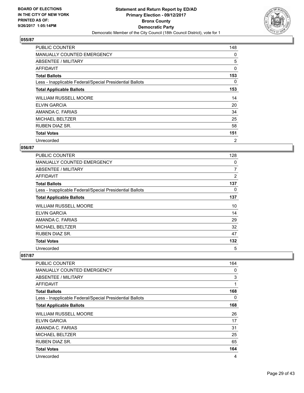

| <b>PUBLIC COUNTER</b>                                    | 148 |
|----------------------------------------------------------|-----|
| <b>MANUALLY COUNTED EMERGENCY</b>                        | 0   |
| ABSENTEE / MILITARY                                      | 5   |
| AFFIDAVIT                                                | 0   |
| <b>Total Ballots</b>                                     | 153 |
| Less - Inapplicable Federal/Special Presidential Ballots | 0   |
| <b>Total Applicable Ballots</b>                          | 153 |
| <b>WILLIAM RUSSELL MOORE</b>                             | 14  |
| ELVIN GARCIA                                             | 20  |
| AMANDA C. FARIAS                                         | 34  |
| MICHAEL BELTZER                                          | 25  |
| RUBEN DIAZ SR.                                           | 58  |
| <b>Total Votes</b>                                       | 151 |
| Unrecorded                                               | 2   |

## **056/87**

| <b>PUBLIC COUNTER</b>                                    | 128            |
|----------------------------------------------------------|----------------|
| <b>MANUALLY COUNTED EMERGENCY</b>                        | 0              |
| ABSENTEE / MILITARY                                      | $\overline{7}$ |
| AFFIDAVIT                                                | $\overline{2}$ |
| <b>Total Ballots</b>                                     | 137            |
| Less - Inapplicable Federal/Special Presidential Ballots | 0              |
| <b>Total Applicable Ballots</b>                          | 137            |
| <b>WILLIAM RUSSELL MOORE</b>                             | 10             |
| <b>ELVIN GARCIA</b>                                      | 14             |
| AMANDA C. FARIAS                                         | 29             |
| <b>MICHAEL BELTZER</b>                                   | 32             |
| RUBEN DIAZ SR.                                           | 47             |
| <b>Total Votes</b>                                       | 132            |
| Unrecorded                                               | 5              |

| <b>PUBLIC COUNTER</b>                                    | 164 |
|----------------------------------------------------------|-----|
| <b>MANUALLY COUNTED EMERGENCY</b>                        | 0   |
| ABSENTEE / MILITARY                                      | 3   |
| AFFIDAVIT                                                | 1   |
| <b>Total Ballots</b>                                     | 168 |
| Less - Inapplicable Federal/Special Presidential Ballots | 0   |
| <b>Total Applicable Ballots</b>                          | 168 |
| <b>WILLIAM RUSSELL MOORE</b>                             | 26  |
| <b>ELVIN GARCIA</b>                                      | 17  |
| AMANDA C. FARIAS                                         | 31  |
| <b>MICHAEL BELTZER</b>                                   | 25  |
| <b>RUBEN DIAZ SR.</b>                                    | 65  |
| <b>Total Votes</b>                                       | 164 |
| Unrecorded                                               | 4   |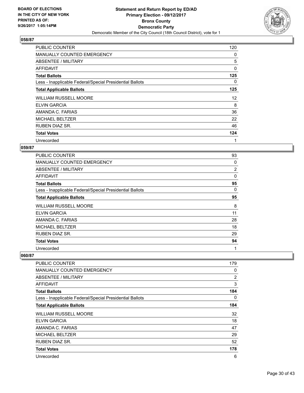

| <b>PUBLIC COUNTER</b>                                    | 120 |
|----------------------------------------------------------|-----|
| <b>MANUALLY COUNTED EMERGENCY</b>                        | 0   |
| ABSENTEE / MILITARY                                      | 5   |
| AFFIDAVIT                                                | 0   |
| <b>Total Ballots</b>                                     | 125 |
| Less - Inapplicable Federal/Special Presidential Ballots | 0   |
| <b>Total Applicable Ballots</b>                          | 125 |
| <b>WILLIAM RUSSELL MOORE</b>                             | 12  |
| ELVIN GARCIA                                             | 8   |
| AMANDA C. FARIAS                                         | 36  |
| <b>MICHAEL BELTZER</b>                                   | 22  |
| <b>RUBEN DIAZ SR.</b>                                    | 46  |
| <b>Total Votes</b>                                       | 124 |
| Unrecorded                                               | 1   |

## **059/87**

| <b>PUBLIC COUNTER</b>                                    | 93 |
|----------------------------------------------------------|----|
| <b>MANUALLY COUNTED EMERGENCY</b>                        | 0  |
| ABSENTEE / MILITARY                                      | 2  |
| AFFIDAVIT                                                | 0  |
| <b>Total Ballots</b>                                     | 95 |
| Less - Inapplicable Federal/Special Presidential Ballots | 0  |
| <b>Total Applicable Ballots</b>                          | 95 |
| <b>WILLIAM RUSSELL MOORE</b>                             | 8  |
| <b>ELVIN GARCIA</b>                                      | 11 |
| AMANDA C. FARIAS                                         | 28 |
| <b>MICHAEL BELTZER</b>                                   | 18 |
| <b>RUBEN DIAZ SR.</b>                                    | 29 |
| <b>Total Votes</b>                                       | 94 |
| Unrecorded                                               | 1  |

| PUBLIC COUNTER                                           | 179 |
|----------------------------------------------------------|-----|
| MANUALLY COUNTED EMERGENCY                               | 0   |
| ABSENTEE / MILITARY                                      | 2   |
| AFFIDAVIT                                                | 3   |
| <b>Total Ballots</b>                                     | 184 |
| Less - Inapplicable Federal/Special Presidential Ballots | 0   |
| <b>Total Applicable Ballots</b>                          | 184 |
| <b>WILLIAM RUSSELL MOORE</b>                             | 32  |
| <b>ELVIN GARCIA</b>                                      | 18  |
| AMANDA C. FARIAS                                         | 47  |
| <b>MICHAEL BELTZER</b>                                   | 29  |
| <b>RUBEN DIAZ SR.</b>                                    | 52  |
| <b>Total Votes</b>                                       | 178 |
| Unrecorded                                               | 6   |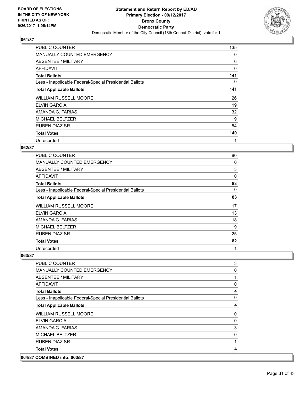

| <b>PUBLIC COUNTER</b>                                    | 135 |
|----------------------------------------------------------|-----|
| <b>MANUALLY COUNTED EMERGENCY</b>                        | 0   |
| <b>ABSENTEE / MILITARY</b>                               | 6   |
| AFFIDAVIT                                                | 0   |
| <b>Total Ballots</b>                                     | 141 |
| Less - Inapplicable Federal/Special Presidential Ballots | 0   |
| <b>Total Applicable Ballots</b>                          | 141 |
| <b>WILLIAM RUSSELL MOORE</b>                             | 26  |
| <b>ELVIN GARCIA</b>                                      | 19  |
| AMANDA C. FARIAS                                         | 32  |
| MICHAEL BELTZER                                          | 9   |
| <b>RUBEN DIAZ SR.</b>                                    | 54  |
| <b>Total Votes</b>                                       | 140 |
| Unrecorded                                               | 1   |

## **062/87**

| <b>PUBLIC COUNTER</b>                                    | 80       |
|----------------------------------------------------------|----------|
| <b>MANUALLY COUNTED EMERGENCY</b>                        | 0        |
| ABSENTEE / MILITARY                                      | 3        |
| AFFIDAVIT                                                | $\Omega$ |
| <b>Total Ballots</b>                                     | 83       |
| Less - Inapplicable Federal/Special Presidential Ballots | 0        |
| <b>Total Applicable Ballots</b>                          | 83       |
| <b>WILLIAM RUSSELL MOORE</b>                             | 17       |
| <b>ELVIN GARCIA</b>                                      | 13       |
| AMANDA C. FARIAS                                         | 18       |
| <b>MICHAEL BELTZER</b>                                   | 9        |
| RUBEN DIAZ SR.                                           | 25       |
| <b>Total Votes</b>                                       | 82       |
| Unrecorded                                               | 1        |

| 064/87 COMBINED into: 063/87                             |                         |
|----------------------------------------------------------|-------------------------|
| <b>Total Votes</b>                                       | 4                       |
| <b>RUBEN DIAZ SR.</b>                                    |                         |
| <b>MICHAEL BELTZER</b>                                   | 0                       |
| AMANDA C. FARIAS                                         | 3                       |
| <b>ELVIN GARCIA</b>                                      | 0                       |
| <b>WILLIAM RUSSELL MOORE</b>                             | 0                       |
| <b>Total Applicable Ballots</b>                          | 4                       |
| Less - Inapplicable Federal/Special Presidential Ballots | 0                       |
| <b>Total Ballots</b>                                     | $\overline{\mathbf{4}}$ |
| <b>AFFIDAVIT</b>                                         | 0                       |
| ABSENTEE / MILITARY                                      | 1                       |
| <b>MANUALLY COUNTED EMERGENCY</b>                        | 0                       |
| <b>PUBLIC COUNTER</b>                                    | 3                       |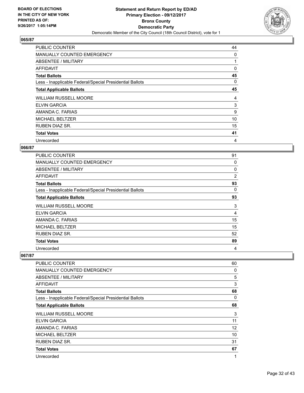

| <b>PUBLIC COUNTER</b>                                    | 44 |
|----------------------------------------------------------|----|
| <b>MANUALLY COUNTED EMERGENCY</b>                        | 0  |
| ABSENTEE / MILITARY                                      |    |
| AFFIDAVIT                                                | 0  |
| <b>Total Ballots</b>                                     | 45 |
| Less - Inapplicable Federal/Special Presidential Ballots | 0  |
| <b>Total Applicable Ballots</b>                          | 45 |
| <b>WILLIAM RUSSELL MOORE</b>                             | 4  |
| <b>ELVIN GARCIA</b>                                      | 3  |
| AMANDA C. FARIAS                                         | 9  |
| <b>MICHAEL BELTZER</b>                                   | 10 |
| <b>RUBEN DIAZ SR.</b>                                    | 15 |
| <b>Total Votes</b>                                       | 41 |
|                                                          |    |

## **066/87**

| <b>PUBLIC COUNTER</b>                                    | 91             |
|----------------------------------------------------------|----------------|
| MANUALLY COUNTED EMERGENCY                               | 0              |
| ABSENTEE / MILITARY                                      | 0              |
| AFFIDAVIT                                                | $\overline{2}$ |
| <b>Total Ballots</b>                                     | 93             |
| Less - Inapplicable Federal/Special Presidential Ballots | 0              |
| <b>Total Applicable Ballots</b>                          | 93             |
| <b>WILLIAM RUSSELL MOORE</b>                             | 3              |
| <b>ELVIN GARCIA</b>                                      | $\overline{4}$ |
| AMANDA C. FARIAS                                         | 15             |
| <b>MICHAEL BELTZER</b>                                   | 15             |
| RUBEN DIAZ SR.                                           | 52             |
| <b>Total Votes</b>                                       | 89             |
| Unrecorded                                               | 4              |

| PUBLIC COUNTER                                           | 60 |
|----------------------------------------------------------|----|
| <b>MANUALLY COUNTED EMERGENCY</b>                        | 0  |
| ABSENTEE / MILITARY                                      | 5  |
| <b>AFFIDAVIT</b>                                         | 3  |
| <b>Total Ballots</b>                                     | 68 |
| Less - Inapplicable Federal/Special Presidential Ballots | 0  |
| <b>Total Applicable Ballots</b>                          | 68 |
| <b>WILLIAM RUSSELL MOORE</b>                             | 3  |
| ELVIN GARCIA                                             | 11 |
| AMANDA C. FARIAS                                         | 12 |
| <b>MICHAEL BELTZER</b>                                   | 10 |
| <b>RUBEN DIAZ SR.</b>                                    | 31 |
| <b>Total Votes</b>                                       | 67 |
| Unrecorded                                               | 1  |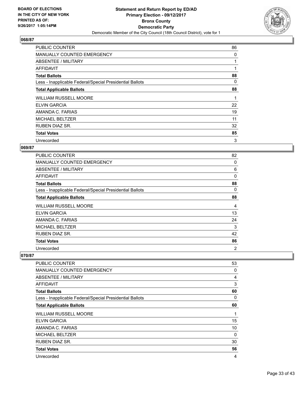

| <b>PUBLIC COUNTER</b>                                    | 86 |
|----------------------------------------------------------|----|
| MANUALLY COUNTED EMERGENCY                               | 0  |
| ABSENTEE / MILITARY                                      |    |
| AFFIDAVIT                                                |    |
| <b>Total Ballots</b>                                     | 88 |
| Less - Inapplicable Federal/Special Presidential Ballots | 0  |
| <b>Total Applicable Ballots</b>                          | 88 |
| <b>WILLIAM RUSSELL MOORE</b>                             | 1  |
| <b>ELVIN GARCIA</b>                                      | 22 |
| AMANDA C. FARIAS                                         | 19 |
| <b>MICHAEL BELTZER</b>                                   | 11 |
| <b>RUBEN DIAZ SR.</b>                                    | 32 |
| <b>Total Votes</b>                                       | 85 |
| Unrecorded                                               | 3  |

## **069/87**

| <b>PUBLIC COUNTER</b>                                    | 82 |
|----------------------------------------------------------|----|
| <b>MANUALLY COUNTED EMERGENCY</b>                        | 0  |
| ABSENTEE / MILITARY                                      | 6  |
| AFFIDAVIT                                                | 0  |
| <b>Total Ballots</b>                                     | 88 |
| Less - Inapplicable Federal/Special Presidential Ballots | 0  |
| <b>Total Applicable Ballots</b>                          | 88 |
| <b>WILLIAM RUSSELL MOORE</b>                             | 4  |
| <b>ELVIN GARCIA</b>                                      | 13 |
| AMANDA C. FARIAS                                         | 24 |
| <b>MICHAEL BELTZER</b>                                   | 3  |
| <b>RUBEN DIAZ SR.</b>                                    | 42 |
| <b>Total Votes</b>                                       | 86 |
| Unrecorded                                               | 2  |

| PUBLIC COUNTER                                           | 53 |
|----------------------------------------------------------|----|
| <b>MANUALLY COUNTED EMERGENCY</b>                        | 0  |
| ABSENTEE / MILITARY                                      | 4  |
| AFFIDAVIT                                                | 3  |
| <b>Total Ballots</b>                                     | 60 |
| Less - Inapplicable Federal/Special Presidential Ballots | 0  |
| <b>Total Applicable Ballots</b>                          | 60 |
| <b>WILLIAM RUSSELL MOORE</b>                             | 1  |
| <b>ELVIN GARCIA</b>                                      | 15 |
| AMANDA C. FARIAS                                         | 10 |
| <b>MICHAEL BELTZER</b>                                   | 0  |
| <b>RUBEN DIAZ SR.</b>                                    | 30 |
| <b>Total Votes</b>                                       | 56 |
| Unrecorded                                               | 4  |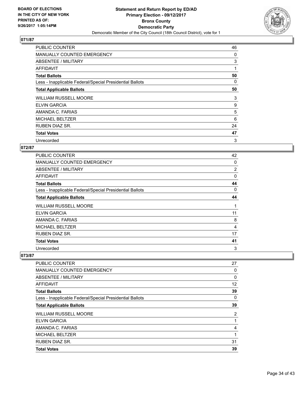

| <b>PUBLIC COUNTER</b>                                    | 46 |
|----------------------------------------------------------|----|
| MANUALLY COUNTED EMERGENCY                               | 0  |
| ABSENTEE / MILITARY                                      | 3  |
| AFFIDAVIT                                                | 1  |
| <b>Total Ballots</b>                                     | 50 |
| Less - Inapplicable Federal/Special Presidential Ballots | 0  |
| <b>Total Applicable Ballots</b>                          | 50 |
| <b>WILLIAM RUSSELL MOORE</b>                             | 3  |
| ELVIN GARCIA                                             | 9  |
| AMANDA C. FARIAS                                         | 5  |
| <b>MICHAEL BELTZER</b>                                   | 6  |
| <b>RUBEN DIAZ SR.</b>                                    | 24 |
| <b>Total Votes</b>                                       | 47 |
| Unrecorded                                               | 3  |

## **072/87**

| <b>PUBLIC COUNTER</b>                                    | 42       |
|----------------------------------------------------------|----------|
| <b>MANUALLY COUNTED EMERGENCY</b>                        | 0        |
| ABSENTEE / MILITARY                                      | 2        |
| AFFIDAVIT                                                | $\Omega$ |
| <b>Total Ballots</b>                                     | 44       |
| Less - Inapplicable Federal/Special Presidential Ballots | 0        |
| <b>Total Applicable Ballots</b>                          | 44       |
| <b>WILLIAM RUSSELL MOORE</b>                             | 1        |
| <b>ELVIN GARCIA</b>                                      | 11       |
| AMANDA C. FARIAS                                         | 8        |
| <b>MICHAEL BELTZER</b>                                   | 4        |
| <b>RUBEN DIAZ SR.</b>                                    | 17       |
| <b>Total Votes</b>                                       | 41       |
| Unrecorded                                               | 3        |

| PUBLIC COUNTER                                           | 27 |
|----------------------------------------------------------|----|
| <b>MANUALLY COUNTED EMERGENCY</b>                        | 0  |
| ABSENTEE / MILITARY                                      | 0  |
| AFFIDAVIT                                                | 12 |
| <b>Total Ballots</b>                                     | 39 |
| Less - Inapplicable Federal/Special Presidential Ballots | 0  |
| <b>Total Applicable Ballots</b>                          | 39 |
| <b>WILLIAM RUSSELL MOORE</b>                             | 2  |
| <b>ELVIN GARCIA</b>                                      |    |
| AMANDA C. FARIAS                                         | 4  |
| <b>MICHAEL BELTZER</b>                                   | 1  |
| <b>RUBEN DIAZ SR.</b>                                    | 31 |
| <b>Total Votes</b>                                       | 39 |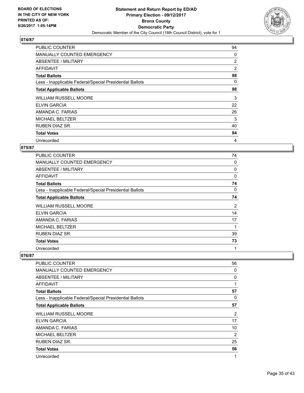

| <b>PUBLIC COUNTER</b>                                    | 94             |
|----------------------------------------------------------|----------------|
| MANUALLY COUNTED EMERGENCY                               | 0              |
| ABSENTEE / MILITARY                                      | $\overline{2}$ |
| AFFIDAVIT                                                | $\overline{2}$ |
| <b>Total Ballots</b>                                     | 98             |
| Less - Inapplicable Federal/Special Presidential Ballots | 0              |
| <b>Total Applicable Ballots</b>                          | 98             |
| <b>WILLIAM RUSSELL MOORE</b>                             | 3              |
| <b>ELVIN GARCIA</b>                                      | 22             |
|                                                          |                |
| AMANDA C. FARIAS                                         | 26             |
| <b>MICHAEL BELTZER</b>                                   | 3              |
| <b>RUBEN DIAZ SR.</b>                                    | 40             |
| <b>Total Votes</b>                                       | 94             |

## **075/87**

| PUBLIC COUNTER                                           | 74       |
|----------------------------------------------------------|----------|
| <b>MANUALLY COUNTED EMERGENCY</b>                        | 0        |
| ABSENTEE / MILITARY                                      | 0        |
| AFFIDAVIT                                                | $\Omega$ |
| <b>Total Ballots</b>                                     | 74       |
| Less - Inapplicable Federal/Special Presidential Ballots | 0        |
| <b>Total Applicable Ballots</b>                          | 74       |
| <b>WILLIAM RUSSELL MOORE</b>                             | 2        |
| <b>ELVIN GARCIA</b>                                      | 14       |
| AMANDA C. FARIAS                                         | 17       |
| <b>MICHAEL BELTZER</b>                                   | 1        |
| <b>RUBEN DIAZ SR.</b>                                    | 39       |
| <b>Total Votes</b>                                       | 73       |
| Unrecorded                                               | 1        |

| PUBLIC COUNTER                                           | 56             |
|----------------------------------------------------------|----------------|
| <b>MANUALLY COUNTED EMERGENCY</b>                        | 0              |
| ABSENTEE / MILITARY                                      | 0              |
| AFFIDAVIT                                                | 1              |
| <b>Total Ballots</b>                                     | 57             |
| Less - Inapplicable Federal/Special Presidential Ballots | 0              |
| <b>Total Applicable Ballots</b>                          | 57             |
| <b>WILLIAM RUSSELL MOORE</b>                             | $\overline{2}$ |
| <b>ELVIN GARCIA</b>                                      | 17             |
| AMANDA C. FARIAS                                         | 10             |
| <b>MICHAEL BELTZER</b>                                   | 2              |
| <b>RUBEN DIAZ SR.</b>                                    | 25             |
| <b>Total Votes</b>                                       | 56             |
| Unrecorded                                               | 1              |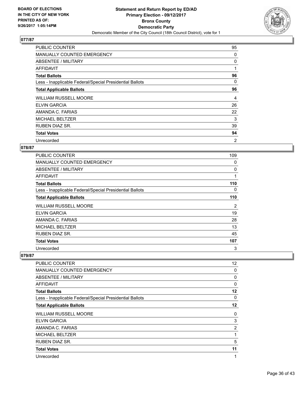

| <b>PUBLIC COUNTER</b>                                    | 95 |
|----------------------------------------------------------|----|
| MANUALLY COUNTED EMERGENCY                               | 0  |
| ABSENTEE / MILITARY                                      | 0  |
| AFFIDAVIT                                                | 1  |
| <b>Total Ballots</b>                                     | 96 |
| Less - Inapplicable Federal/Special Presidential Ballots | 0  |
| <b>Total Applicable Ballots</b>                          | 96 |
| <b>WILLIAM RUSSELL MOORE</b>                             | 4  |
| ELVIN GARCIA                                             | 26 |
| AMANDA C. FARIAS                                         | 22 |
| <b>MICHAEL BELTZER</b>                                   | 3  |
| <b>RUBEN DIAZ SR.</b>                                    | 39 |
|                                                          |    |
| <b>Total Votes</b>                                       | 94 |

## **078/87**

| <b>PUBLIC COUNTER</b>                                    | 109 |
|----------------------------------------------------------|-----|
| <b>MANUALLY COUNTED EMERGENCY</b>                        | 0   |
| ABSENTEE / MILITARY                                      | 0   |
| AFFIDAVIT                                                | 1   |
| <b>Total Ballots</b>                                     | 110 |
| Less - Inapplicable Federal/Special Presidential Ballots | 0   |
| <b>Total Applicable Ballots</b>                          | 110 |
| <b>WILLIAM RUSSELL MOORE</b>                             | 2   |
| <b>ELVIN GARCIA</b>                                      | 19  |
| AMANDA C. FARIAS                                         | 28  |
| <b>MICHAEL BELTZER</b>                                   | 13  |
| RUBEN DIAZ SR.                                           | 45  |
| <b>Total Votes</b>                                       | 107 |
| Unrecorded                                               | 3   |

| <b>PUBLIC COUNTER</b>                                    | 12             |
|----------------------------------------------------------|----------------|
| <b>MANUALLY COUNTED EMERGENCY</b>                        | 0              |
| ABSENTEE / MILITARY                                      | 0              |
| <b>AFFIDAVIT</b>                                         | 0              |
| <b>Total Ballots</b>                                     | $12 \,$        |
| Less - Inapplicable Federal/Special Presidential Ballots | 0              |
| <b>Total Applicable Ballots</b>                          | 12             |
| <b>WILLIAM RUSSELL MOORE</b>                             | 0              |
| ELVIN GARCIA                                             | 3              |
| AMANDA C. FARIAS                                         | $\overline{2}$ |
| <b>MICHAEL BELTZER</b>                                   | 1              |
| RUBEN DIAZ SR.                                           | 5              |
| <b>Total Votes</b>                                       | 11             |
| Unrecorded                                               | 1              |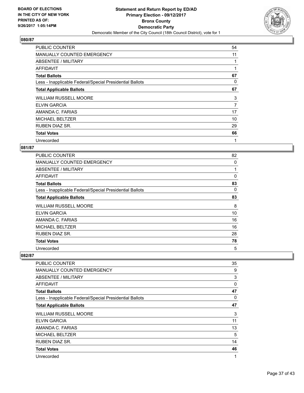

| <b>PUBLIC COUNTER</b>                                    | 54 |
|----------------------------------------------------------|----|
| MANUALLY COUNTED EMERGENCY                               | 11 |
| ABSENTEE / MILITARY                                      |    |
| AFFIDAVIT                                                |    |
| <b>Total Ballots</b>                                     | 67 |
| Less - Inapplicable Federal/Special Presidential Ballots | 0  |
| <b>Total Applicable Ballots</b>                          | 67 |
| <b>WILLIAM RUSSELL MOORE</b>                             | 3  |
| <b>ELVIN GARCIA</b>                                      | 7  |
| AMANDA C. FARIAS                                         | 17 |
| <b>MICHAEL BELTZER</b>                                   | 10 |
| <b>RUBEN DIAZ SR.</b>                                    | 29 |
| <b>Total Votes</b>                                       | 66 |
| Unrecorded                                               | 1  |

## **081/87**

| <b>PUBLIC COUNTER</b>                                    | 82 |
|----------------------------------------------------------|----|
| <b>MANUALLY COUNTED EMERGENCY</b>                        | 0  |
| ABSENTEE / MILITARY                                      | 1  |
| AFFIDAVIT                                                | 0  |
| <b>Total Ballots</b>                                     | 83 |
| Less - Inapplicable Federal/Special Presidential Ballots | 0  |
| <b>Total Applicable Ballots</b>                          | 83 |
| <b>WILLIAM RUSSELL MOORE</b>                             | 8  |
| <b>ELVIN GARCIA</b>                                      | 10 |
| AMANDA C. FARIAS                                         | 16 |
| <b>MICHAEL BELTZER</b>                                   | 16 |
| RUBEN DIAZ SR.                                           | 28 |
| <b>Total Votes</b>                                       | 78 |
| Unrecorded                                               | 5  |

| PUBLIC COUNTER                                           | 35 |
|----------------------------------------------------------|----|
| <b>MANUALLY COUNTED EMERGENCY</b>                        | 9  |
| ABSENTEE / MILITARY                                      | 3  |
| AFFIDAVIT                                                | 0  |
| <b>Total Ballots</b>                                     | 47 |
| Less - Inapplicable Federal/Special Presidential Ballots | 0  |
| <b>Total Applicable Ballots</b>                          | 47 |
| <b>WILLIAM RUSSELL MOORE</b>                             | 3  |
| <b>ELVIN GARCIA</b>                                      | 11 |
| AMANDA C. FARIAS                                         | 13 |
| <b>MICHAEL BELTZER</b>                                   | 5  |
| <b>RUBEN DIAZ SR.</b>                                    | 14 |
| <b>Total Votes</b>                                       | 46 |
| Unrecorded                                               | 1  |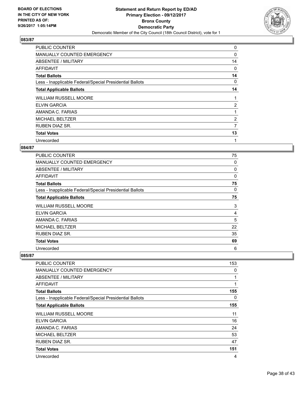

| PUBLIC COUNTER                                           | 0              |
|----------------------------------------------------------|----------------|
| MANUALLY COUNTED EMERGENCY                               | 0              |
| ABSENTEE / MILITARY                                      | 14             |
| AFFIDAVIT                                                | 0              |
| <b>Total Ballots</b>                                     | 14             |
| Less - Inapplicable Federal/Special Presidential Ballots | 0              |
| <b>Total Applicable Ballots</b>                          | 14             |
| <b>WILLIAM RUSSELL MOORE</b>                             |                |
| <b>ELVIN GARCIA</b>                                      | 2              |
| AMANDA C. FARIAS                                         |                |
| <b>MICHAEL BELTZER</b>                                   | $\overline{2}$ |
| <b>RUBEN DIAZ SR.</b>                                    | 7              |
| <b>Total Votes</b>                                       | 13             |
| Unrecorded                                               | 1              |

## **084/87**

| <b>PUBLIC COUNTER</b>                                    | 75       |
|----------------------------------------------------------|----------|
| <b>MANUALLY COUNTED EMERGENCY</b>                        | 0        |
| ABSENTEE / MILITARY                                      | 0        |
| AFFIDAVIT                                                | $\Omega$ |
| <b>Total Ballots</b>                                     | 75       |
| Less - Inapplicable Federal/Special Presidential Ballots | 0        |
| <b>Total Applicable Ballots</b>                          | 75       |
| WILLIAM RUSSELL MOORE                                    | 3        |
| <b>ELVIN GARCIA</b>                                      | 4        |
| AMANDA C. FARIAS                                         | 5        |
| <b>MICHAEL BELTZER</b>                                   | 22       |
| <b>RUBEN DIAZ SR.</b>                                    | 35       |
|                                                          |          |
| <b>Total Votes</b>                                       | 69       |

| <b>PUBLIC COUNTER</b>                                    | 153 |
|----------------------------------------------------------|-----|
| <b>MANUALLY COUNTED EMERGENCY</b>                        | 0   |
| ABSENTEE / MILITARY                                      | 1   |
| AFFIDAVIT                                                | 1   |
| <b>Total Ballots</b>                                     | 155 |
| Less - Inapplicable Federal/Special Presidential Ballots | 0   |
| <b>Total Applicable Ballots</b>                          | 155 |
| <b>WILLIAM RUSSELL MOORE</b>                             | 11  |
| <b>ELVIN GARCIA</b>                                      | 16  |
| AMANDA C. FARIAS                                         | 24  |
| <b>MICHAEL BELTZER</b>                                   | 53  |
| <b>RUBEN DIAZ SR.</b>                                    | 47  |
| <b>Total Votes</b>                                       | 151 |
| Unrecorded                                               | 4   |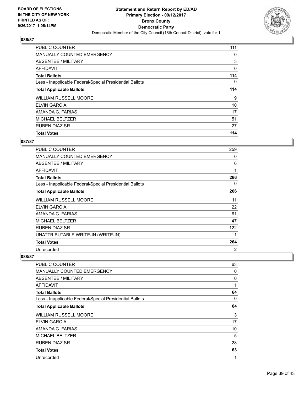

| <b>PUBLIC COUNTER</b>                                    | 111 |
|----------------------------------------------------------|-----|
| MANUALLY COUNTED EMERGENCY                               | 0   |
| ABSENTEE / MILITARY                                      | 3   |
| AFFIDAVIT                                                | 0   |
| <b>Total Ballots</b>                                     | 114 |
| Less - Inapplicable Federal/Special Presidential Ballots | 0   |
| <b>Total Applicable Ballots</b>                          | 114 |
| <b>WILLIAM RUSSELL MOORE</b>                             | 9   |
| <b>ELVIN GARCIA</b>                                      | 10  |
| AMANDA C. FARIAS                                         | 17  |
| <b>MICHAEL BELTZER</b>                                   | 51  |
| <b>RUBEN DIAZ SR.</b>                                    | 27  |
| <b>Total Votes</b>                                       | 114 |

# **087/87**

| PUBLIC COUNTER                                           | 259 |
|----------------------------------------------------------|-----|
| <b>MANUALLY COUNTED EMERGENCY</b>                        | 0   |
| ABSENTEE / MILITARY                                      | 6   |
| <b>AFFIDAVIT</b>                                         | 1   |
| <b>Total Ballots</b>                                     | 266 |
| Less - Inapplicable Federal/Special Presidential Ballots | 0   |
| <b>Total Applicable Ballots</b>                          | 266 |
| WILLIAM RUSSELL MOORE                                    | 11  |
| <b>ELVIN GARCIA</b>                                      | 22  |
| AMANDA C. FARIAS                                         | 61  |
| <b>MICHAEL BELTZER</b>                                   | 47  |
| RUBEN DIAZ SR.                                           | 122 |
| UNATTRIBUTABLE WRITE-IN (WRITE-IN)                       | 1   |
| <b>Total Votes</b>                                       | 264 |
| Unrecorded                                               | 2   |

| PUBLIC COUNTER                                           | 63 |
|----------------------------------------------------------|----|
| MANUALLY COUNTED EMERGENCY                               | 0  |
| ABSENTEE / MILITARY                                      | 0  |
| <b>AFFIDAVIT</b>                                         | 1  |
| <b>Total Ballots</b>                                     | 64 |
| Less - Inapplicable Federal/Special Presidential Ballots | 0  |
| <b>Total Applicable Ballots</b>                          | 64 |
| <b>WILLIAM RUSSELL MOORE</b>                             | 3  |
| ELVIN GARCIA                                             | 17 |
| AMANDA C. FARIAS                                         | 10 |
| <b>MICHAEL BELTZER</b>                                   | 5  |
| <b>RUBEN DIAZ SR.</b>                                    | 28 |
| <b>Total Votes</b>                                       | 63 |
| Unrecorded                                               | 1  |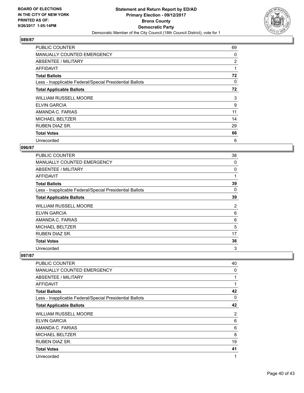

| <b>PUBLIC COUNTER</b>                                    | 69 |
|----------------------------------------------------------|----|
| <b>MANUALLY COUNTED EMERGENCY</b>                        | 0  |
| ABSENTEE / MILITARY                                      | 2  |
| AFFIDAVIT                                                | 1  |
| <b>Total Ballots</b>                                     | 72 |
| Less - Inapplicable Federal/Special Presidential Ballots | 0  |
| <b>Total Applicable Ballots</b>                          | 72 |
| <b>WILLIAM RUSSELL MOORE</b>                             | 3  |
| <b>ELVIN GARCIA</b>                                      | 9  |
| AMANDA C. FARIAS                                         | 11 |
| <b>MICHAEL BELTZER</b>                                   | 14 |
| <b>RUBEN DIAZ SR.</b>                                    | 29 |
| <b>Total Votes</b>                                       | 66 |
| Unrecorded                                               | 6  |

## **096/87**

| <b>PUBLIC COUNTER</b>                                    | 38 |
|----------------------------------------------------------|----|
| <b>MANUALLY COUNTED EMERGENCY</b>                        | 0  |
| ABSENTEE / MILITARY                                      | 0  |
| AFFIDAVIT                                                | 1  |
| <b>Total Ballots</b>                                     | 39 |
| Less - Inapplicable Federal/Special Presidential Ballots | 0  |
| <b>Total Applicable Ballots</b>                          | 39 |
| <b>WILLIAM RUSSELL MOORE</b>                             | 2  |
| <b>ELVIN GARCIA</b>                                      | 6  |
| AMANDA C. FARIAS                                         | 6  |
| <b>MICHAEL BELTZER</b>                                   | 5  |
| <b>RUBEN DIAZ SR.</b>                                    | 17 |
| <b>Total Votes</b>                                       | 36 |
| Unrecorded                                               | 3  |

| PUBLIC COUNTER                                           | 40 |
|----------------------------------------------------------|----|
| <b>MANUALLY COUNTED EMERGENCY</b>                        | 0  |
| ABSENTEE / MILITARY                                      | 1  |
| AFFIDAVIT                                                | 1  |
| <b>Total Ballots</b>                                     | 42 |
| Less - Inapplicable Federal/Special Presidential Ballots | 0  |
| <b>Total Applicable Ballots</b>                          | 42 |
| <b>WILLIAM RUSSELL MOORE</b>                             | 2  |
| <b>ELVIN GARCIA</b>                                      | 6  |
| AMANDA C. FARIAS                                         | 6  |
| <b>MICHAEL BELTZER</b>                                   | 8  |
| <b>RUBEN DIAZ SR.</b>                                    | 19 |
| <b>Total Votes</b>                                       | 41 |
| Unrecorded                                               | 1  |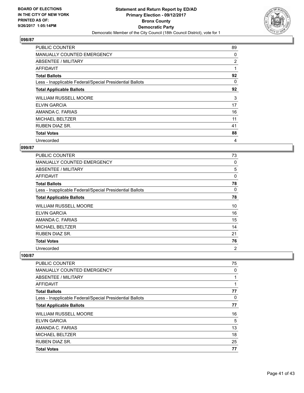

| <b>PUBLIC COUNTER</b>                                    | 89 |
|----------------------------------------------------------|----|
| <b>MANUALLY COUNTED EMERGENCY</b>                        | 0  |
| ABSENTEE / MILITARY                                      | 2  |
| AFFIDAVIT                                                | 1  |
| <b>Total Ballots</b>                                     | 92 |
| Less - Inapplicable Federal/Special Presidential Ballots | 0  |
| <b>Total Applicable Ballots</b>                          | 92 |
| <b>WILLIAM RUSSELL MOORE</b>                             | 3  |
| <b>ELVIN GARCIA</b>                                      | 17 |
| AMANDA C. FARIAS                                         | 16 |
| <b>MICHAEL BELTZER</b>                                   | 11 |
| <b>RUBEN DIAZ SR.</b>                                    | 41 |
| <b>Total Votes</b>                                       | 88 |
| Unrecorded                                               | 4  |

## **099/87**

| <b>PUBLIC COUNTER</b>                                    | 73             |
|----------------------------------------------------------|----------------|
| <b>MANUALLY COUNTED EMERGENCY</b>                        | 0              |
| ABSENTEE / MILITARY                                      | 5              |
| AFFIDAVIT                                                | $\Omega$       |
| <b>Total Ballots</b>                                     | 78             |
| Less - Inapplicable Federal/Special Presidential Ballots | 0              |
| <b>Total Applicable Ballots</b>                          | 78             |
| <b>WILLIAM RUSSELL MOORE</b>                             | 10             |
| <b>ELVIN GARCIA</b>                                      | 16             |
| AMANDA C. FARIAS                                         | 15             |
| <b>MICHAEL BELTZER</b>                                   | 14             |
| RUBEN DIAZ SR.                                           | 21             |
| <b>Total Votes</b>                                       | 76             |
| Unrecorded                                               | $\overline{2}$ |

| <b>PUBLIC COUNTER</b>                                    | 75 |
|----------------------------------------------------------|----|
| MANUALLY COUNTED EMERGENCY                               | 0  |
| ABSENTEE / MILITARY                                      | 1  |
| AFFIDAVIT                                                | 1  |
| <b>Total Ballots</b>                                     | 77 |
| Less - Inapplicable Federal/Special Presidential Ballots | 0  |
| <b>Total Applicable Ballots</b>                          | 77 |
| <b>WILLIAM RUSSELL MOORE</b>                             | 16 |
| <b>ELVIN GARCIA</b>                                      | 5  |
| AMANDA C. FARIAS                                         | 13 |
| <b>MICHAEL BELTZER</b>                                   | 18 |
| <b>RUBEN DIAZ SR.</b>                                    | 25 |
| <b>Total Votes</b>                                       | 77 |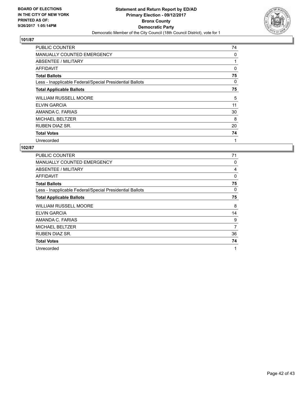

| <b>PUBLIC COUNTER</b>                                    | 74 |
|----------------------------------------------------------|----|
| <b>MANUALLY COUNTED EMERGENCY</b>                        | 0  |
| ABSENTEE / MILITARY                                      |    |
| AFFIDAVIT                                                | 0  |
| <b>Total Ballots</b>                                     | 75 |
| Less - Inapplicable Federal/Special Presidential Ballots | 0  |
| <b>Total Applicable Ballots</b>                          | 75 |
|                                                          |    |
| <b>WILLIAM RUSSELL MOORE</b>                             | 5  |
| ELVIN GARCIA                                             | 11 |
| AMANDA C. FARIAS                                         | 30 |
| <b>MICHAEL BELTZER</b>                                   | 8  |
| RUBEN DIAZ SR.                                           | 20 |
| <b>Total Votes</b>                                       | 74 |

| <b>PUBLIC COUNTER</b>                                    | 71       |
|----------------------------------------------------------|----------|
| <b>MANUALLY COUNTED EMERGENCY</b>                        | 0        |
| ABSENTEE / MILITARY                                      | 4        |
| AFFIDAVIT                                                | $\Omega$ |
| <b>Total Ballots</b>                                     | 75       |
| Less - Inapplicable Federal/Special Presidential Ballots | 0        |
| <b>Total Applicable Ballots</b>                          | 75       |
| WILLIAM RUSSELL MOORE                                    | 8        |
| <b>ELVIN GARCIA</b>                                      | 14       |
| AMANDA C. FARIAS                                         | 9        |
| <b>MICHAEL BELTZER</b>                                   | 7        |
| RUBEN DIAZ SR.                                           | 36       |
| <b>Total Votes</b>                                       | 74       |
| Unrecorded                                               | 1        |